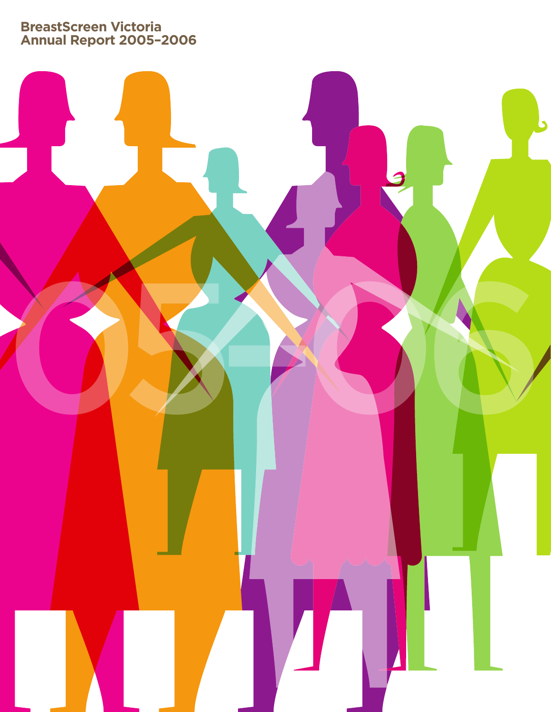**BreastScreen Victoria Annual Report 2005–2006**

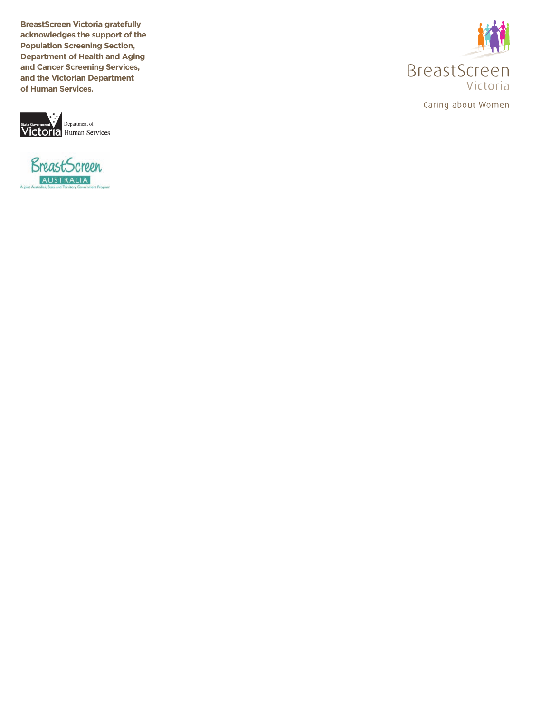**BreastScreen Victoria gratefully acknowledges the support of the Population Screening Section, Department of Health and Aging and Cancer Screening Services, and the Victorian Department of Human Services.**







Caring about Women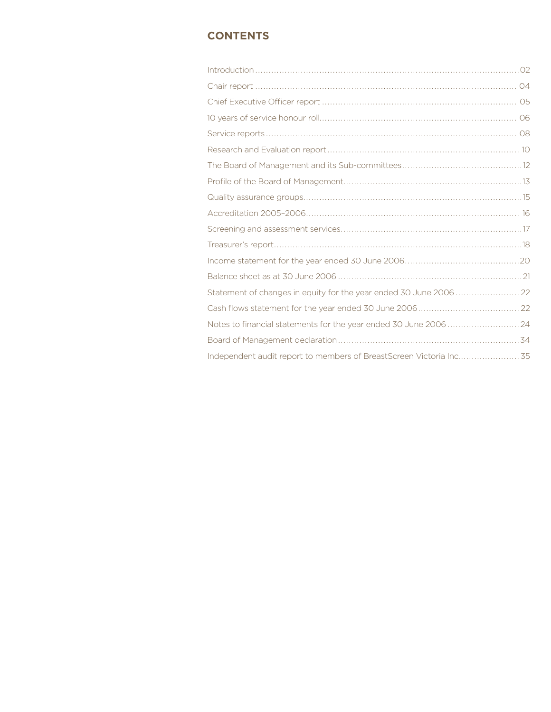# **Contents**

| Statement of changes in equity for the year ended 30 June 2006  22 |  |
|--------------------------------------------------------------------|--|
|                                                                    |  |
|                                                                    |  |
|                                                                    |  |
|                                                                    |  |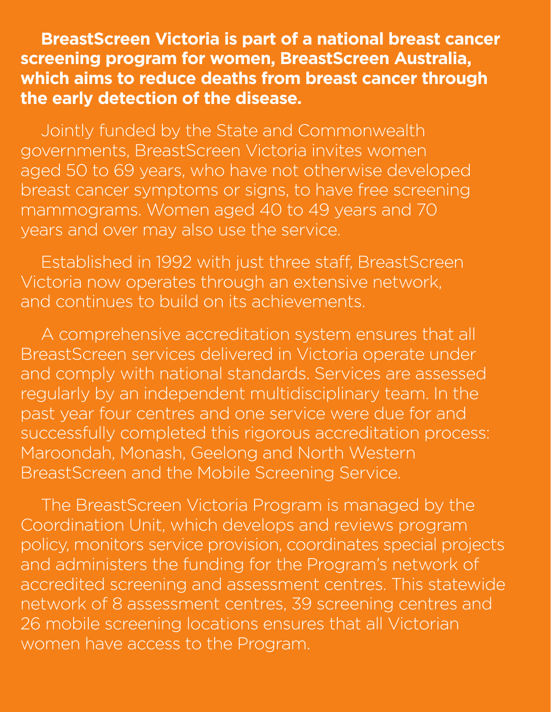**BreastScreen Victoria is part of a national breast cancer screening program for women, BreastScreen Australia, which aims to reduce deaths from breast cancer through the early detection of the disease.**

Jointly funded by the State and Commonwealth governments, BreastScreen Victoria invites women aged 50 to 69 years, who have not otherwise developed breast cancer symptoms or signs, to have free screening mammograms. Women aged 40 to 49 years and 70 years and over may also use the service.

Established in 1992 with just three staff, BreastScreen Victoria now operates through an extensive network, and continues to build on its achievements.

A comprehensive accreditation system ensures that all BreastScreen services delivered in Victoria operate under and comply with national standards. Services are assessed regularly by an independent multidisciplinary team. In the past year four centres and one service were due for and successfully completed this rigorous accreditation process: Maroondah, Monash, Geelong and North Western BreastScreen and the Mobile Screening Service.

The BreastScreen Victoria Program is managed by the Coordination Unit, which develops and reviews program policy, monitors service provision, coordinates special projects and administers the funding for the Program's network of accredited screening and assessment centres. This statewide network of 8 assessment centres, 39 screening centres and 26 mobile screening locations ensures that all Victorian women have access to the Program.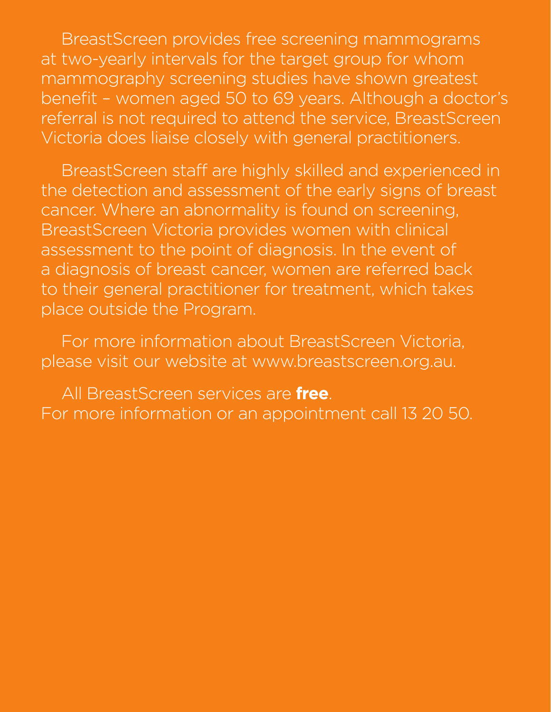BreastScreen provides free screening mammograms at two-yearly intervals for the target group for whom mammography screening studies have shown greatest benefit – women aged 50 to 69 years. Although a doctor's referral is not required to attend the service, BreastScreen Victoria does liaise closely with general practitioners.

BreastScreen staff are highly skilled and experienced in the detection and assessment of the early signs of breast cancer. Where an abnormality is found on screening, BreastScreen Victoria provides women with clinical assessment to the point of diagnosis. In the event of a diagnosis of breast cancer, women are referred back to their general practitioner for treatment, which takes place outside the Program.

For more information about BreastScreen Victoria, please visit our website at www.breastscreen.org.au.

All BreastScreen services are **free**. For more information or an appointment call 13 20 50.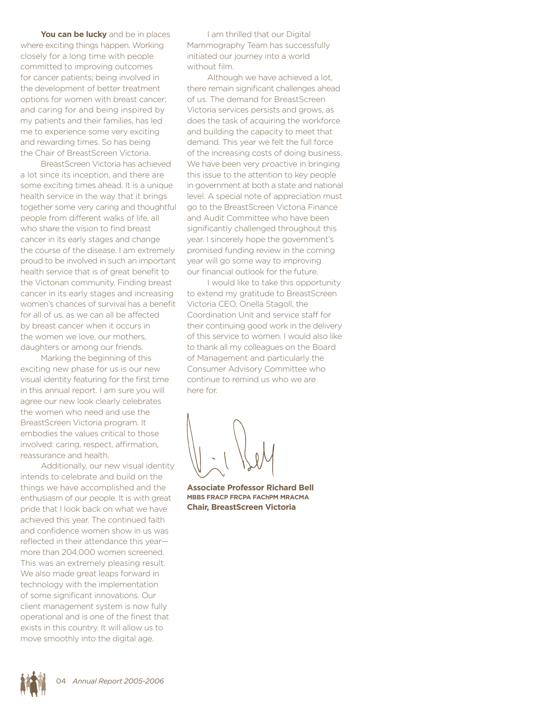**You can be lucky** and be in places where exciting things happen. Working closely for a long time with people committed to improving outcomes for cancer patients; being involved in the development of better treatment options for women with breast cancer; and caring for and being inspired by my patients and their families, has led me to experience some very exciting and rewarding times. So has being the Chair of BreastScreen Victoria.

BreastScreen Victoria has achieved a lot since its inception, and there are some exciting times ahead. It is a unique health service in the way that it brings together some very caring and thoughtful people from different walks of life, all who share the vision to find breast cancer in its early stages and change the course of the disease. I am extremely proud to be involved in such an important health service that is of great benefit to the Victorian community. Finding breast cancer in its early stages and increasing women's chances of survival has a benefit for all of us, as we can all be affected by breast cancer when it occurs in the women we love, our mothers, daughters or among our friends.

Marking the beginning of this exciting new phase for us is our new visual identity featuring for the first time in this annual report. I am sure you will agree our new look clearly celebrates the women who need and use the BreastScreen Victoria program. It embodies the values critical to those involved: caring, respect, affirmation, reassurance and health.

Additionally, our new visual identity intends to celebrate and build on the things we have accomplished and the enthusiasm of our people. It is with great pride that I look back on what we have achieved this year. The continued faith and confidence women show in us was reflected in their attendance this year more than 204,000 women screened. This was an extremely pleasing result. We also made great leaps forward in technology with the implementation of some significant innovations. Our client management system is now fully operational and is one of the finest that exists in this country. It will allow us to move smoothly into the digital age.

I am thrilled that our Digital Mammography Team has successfully initiated our journey into a world without film.

Although we have achieved a lot, there remain significant challenges ahead of us. The demand for BreastScreen Victoria services persists and grows, as does the task of acquiring the workforce and building the capacity to meet that demand. This year we felt the full force of the increasing costs of doing business. We have been very proactive in bringing this issue to the attention to key people in government at both a state and national level. A special note of appreciation must go to the BreastScreen Victoria Finance and Audit Committee who have been significantly challenged throughout this year. I sincerely hope the government's promised funding review in the coming year will go some way to improving our financial outlook for the future.

I would like to take this opportunity to extend my gratitude to BreastScreen Victoria CEO, Onella Stagoll, the Coordination Unit and service staff for their continuing good work in the delivery of this service to women. I would also like to thank all my colleagues on the Board of Management and particularly the Consumer Advisory Committee who continue to remind us who we are here for.

**Associate Professor Richard Bell MBBS FRACP FRCPA FAChPM MRACMA Chair, BreastScreen Victoria**

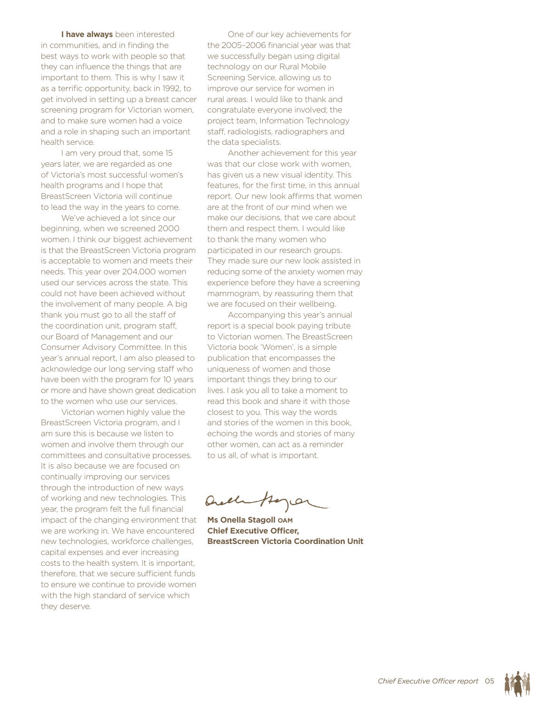**I have always** been interested in communities, and in finding the best ways to work with people so that they can influence the things that are important to them. This is why I saw it as a terrific opportunity, back in 1992, to get involved in setting up a breast cancer screening program for Victorian women, and to make sure women had a voice and a role in shaping such an important health service.

I am very proud that, some 15 years later, we are regarded as one of Victoria's most successful women's health programs and I hope that BreastScreen Victoria will continue to lead the way in the years to come.

We've achieved a lot since our beginning, when we screened 2000 women. I think our biggest achievement is that the BreastScreen Victoria program is acceptable to women and meets their needs. This year over 204,000 women used our services across the state. This could not have been achieved without the involvement of many people. A big thank you must go to all the staff of the coordination unit, program staff, our Board of Management and our Consumer Advisory Committee. In this year's annual report, I am also pleased to acknowledge our long serving staff who have been with the program for 10 years or more and have shown great dedication to the women who use our services.

Victorian women highly value the BreastScreen Victoria program, and I am sure this is because we listen to women and involve them through our committees and consultative processes. It is also because we are focused on continually improving our services through the introduction of new ways of working and new technologies. This year, the program felt the full financial impact of the changing environment that we are working in. We have encountered new technologies, workforce challenges, capital expenses and ever increasing costs to the health system. It is important, therefore, that we secure sufficient funds to ensure we continue to provide women with the high standard of service which they deserve.

One of our key achievements for the 2005–2006 financial year was that we successfully began using digital technology on our Rural Mobile Screening Service, allowing us to improve our service for women in rural areas. I would like to thank and congratulate everyone involved; the project team, Information Technology staff, radiologists, radiographers and the data specialists.

Another achievement for this year was that our close work with women, has given us a new visual identity. This features, for the first time, in this annual report. Our new look affirms that women are at the front of our mind when we make our decisions, that we care about them and respect them. I would like to thank the many women who participated in our research groups. They made sure our new look assisted in reducing some of the anxiety women may experience before they have a screening mammogram, by reassuring them that we are focused on their wellbeing.

Accompanying this year's annual report is a special book paying tribute to Victorian women. The BreastScreen Victoria book 'Women', is a simple publication that encompasses the uniqueness of women and those important things they bring to our lives. I ask you all to take a moment to read this book and share it with those closest to you. This way the words and stories of the women in this book, echoing the words and stories of many other women, can act as a reminder to us all, of what is important.

Quelle Anger

**Ms Onella Stagoll OAM Chief Executive Officer, BreastScreen Victoria Coordination Unit**

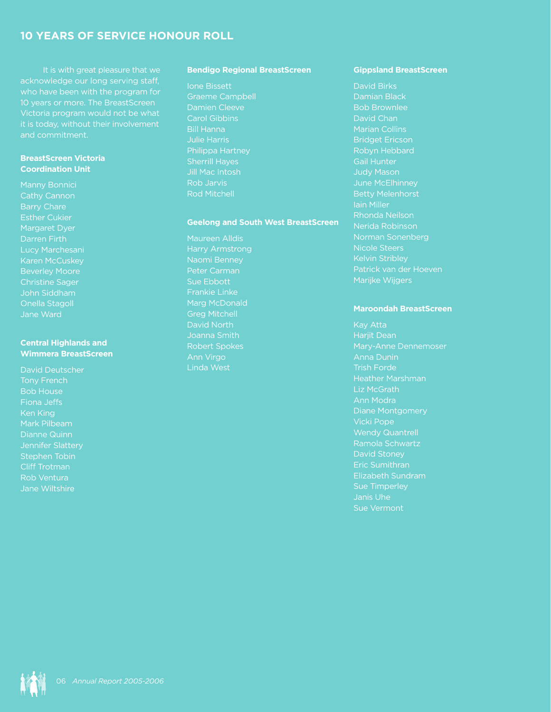# **10 years of service Honour Roll**

 It is with great pleasure that we acknowledge our long serving staff, who have been with the program for 10 years or more. The BreastScreen Victoria program would not be what it is today, without their involvement and commitment.

### **BreastScreen Victoria Coordination Unit**

Manny Bonnici Cathy Cannon Barry Chare Esther Cukier Margaret Dyer Darren Firth Lucy Marchesani Karen McCuskey Christine Sager John Siddham Onella Stagoll Jane Ward

### **Central Highlands and Wimmera BreastScreen**

David Deutscher Bob House Fiona Jeffs Ken King Mark Pilbeam Dianne Quinn Stephen Tobin Cliff Trotman Rob Ventura Jane Wiltshire

### **Bendigo Regional BreastScreen**

Ione Bissett

Graeme Campbell Damien Cleeve Carol Gibbins Bill Hanna Julie Harris Philippa Hartney Sherrill Hayes Jill Mac Intosh Rob Jarvis Rod Mitchell

#### **Geelong and South West BreastScreen**

Maureen Alldis Harry Armstrong Naomi Benney Peter Carman Sue Ebbott Frankie Linke Marg McDonald Greg Mitchell David North Joanna Smith Robert Spokes Ann Virgo Linda West

#### **Gippsland BreastScreen**

David Birks Damian Black Bob Brownlee David Chan Marian Collins Bridget Ericson Robyn Hebbard Gail Hunter Judy Mason June McElhinney Betty Melenhorst Iain Miller Rhonda Neilson Nerida Robinson Norman Sonenberg Kelvin Stribley Patrick van der Hoeven Marijke Wijgers

#### **Maroondah BreastScreen**

Kay Atta Harjit Dean Anna Dunin Trish Forde Heather Marshman Liz McGrath Ann Modra Diane Montgomery Vicki Pope Wendy Quantrell Ramola Schwartz David Stoney Eric Sumithran Elizabeth Sundram Sue Timperley Janis Uhe Sue Vermont

0 *Annual Report 2005-2006*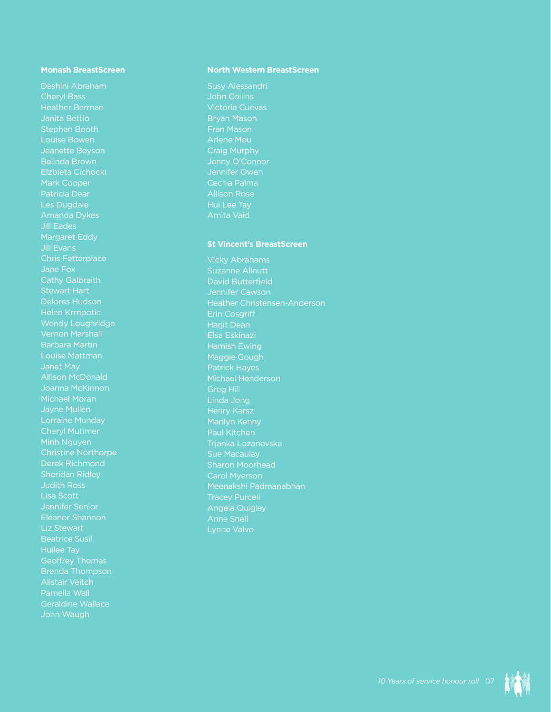### **Monash BreastScreen**

Deshini Abraham Cheryl Bass Janita Bettio Stephen Booth Louise Bowen Jeanette Boyson Belinda Brown Elzbieta Cichocki Mark Cooper Patricia Dear Les Dugdale Amanda Dykes Jill Eades Margaret Eddy Jill Evans Chris Fetterplace Jane Fox Cathy Galbraith Delores Hudson Helen Krmpotic Wendy Loughridge Vernon Marshall Barbara Martin Louise Mattman Allison McDonald Joanna McKinnon Michael Moran Lorraine Munday Cheryl Mutimer Minh Nguyen Christine Northorpe Derek Richmond **Sheridan Ridley** Lisa Scott Jennifer Senior Eleanor Shannon Beatrice Susil Huilee Tay Brenda Thompson Alistair Veitch Pamella Wall Geraldine Wallace John Waugh

#### **North Western BreastScreen**

Susy Alessandri John Collins Victoria Cuevas Bryan Mason Fran Mason Arlene Mou Craig Murphy Jenny O'Connor Jennifer Owen Cecilia Palma Allison Rose Hui Lee Tay Amita Vaid

#### **St Vincent's BreastScreen**

Vicky Abrahams Suzanne Allnutt David Butterfield Jennifer Cawson Heather Christensen-Anderson Erin Cosgriff Harjit Dean Elsa Eskinazi Hamish Ewing Maggie Gough Patrick Hayes Michael Henderson Greg Hill Marilyn Kenny Paul Kitchen Trjanka Lozanovska Sharon Moorhead Carol Myerson Meenakshi Padmanabhan Tracey Purcell Angela Quigley

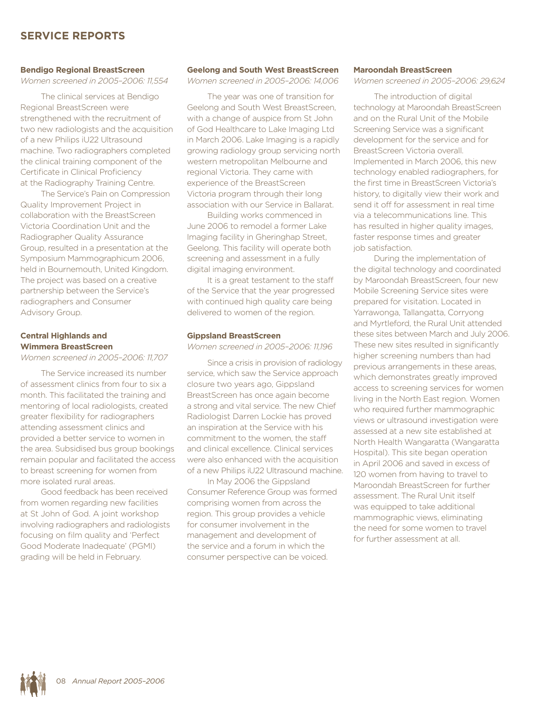# **Service Reports**

#### **Bendigo Regional BreastScreen**

*Women screened in 2005–2006: 11,554*

The clinical services at Bendigo Regional BreastScreen were strengthened with the recruitment of two new radiologists and the acquisition of a new Philips iU22 Ultrasound machine. Two radiographers completed the clinical training component of the Certificate in Clinical Proficiency at the Radiography Training Centre.

The Service's Pain on Compression Quality Improvement Project in collaboration with the BreastScreen Victoria Coordination Unit and the Radiographer Quality Assurance Group, resulted in a presentation at the Symposium Mammographicum 2006, held in Bournemouth, United Kingdom. The project was based on a creative partnership between the Service's radiographers and Consumer Advisory Group.

## **Central Highlands and Wimmera BreastScreen**

*Women screened in 2005–2006: 11,707*

The Service increased its number of assessment clinics from four to six a month. This facilitated the training and mentoring of local radiologists, created greater flexibility for radiographers attending assessment clinics and provided a better service to women in the area. Subsidised bus group bookings remain popular and facilitated the access to breast screening for women from more isolated rural areas.

Good feedback has been received from women regarding new facilities at St John of God. A joint workshop involving radiographers and radiologists focusing on film quality and 'Perfect Good Moderate Inadequate' (PGMI) grading will be held in February.

#### **Geelong and South West BreastScreen**

*Women screened in 2005–2006: 14,006*

The year was one of transition for Geelong and South West BreastScreen, with a change of auspice from St John of God Healthcare to Lake Imaging Ltd in March 2006. Lake Imaging is a rapidly growing radiology group servicing north western metropolitan Melbourne and regional Victoria. They came with experience of the BreastScreen Victoria program through their long association with our Service in Ballarat.

Building works commenced in June 2006 to remodel a former Lake Imaging facility in Gheringhap Street, Geelong. This facility will operate both screening and assessment in a fully digital imaging environment.

It is a great testament to the staff of the Service that the year progressed with continued high quality care being delivered to women of the region.

#### **Gippsland BreastScreen**

*Women screened in 2005–2006: 11,196*

Since a crisis in provision of radiology service, which saw the Service approach closure two years ago, Gippsland BreastScreen has once again become a strong and vital service. The new Chief Radiologist Darren Lockie has proved an inspiration at the Service with his commitment to the women, the staff and clinical excellence. Clinical services were also enhanced with the acquisition of a new Philips iU22 Ultrasound machine.

In May 2006 the Gippsland Consumer Reference Group was formed comprising women from across the region. This group provides a vehicle for consumer involvement in the management and development of the service and a forum in which the consumer perspective can be voiced.

#### **Maroondah BreastScreen**

*Women screened in 2005–2006: 29,624*

The introduction of digital technology at Maroondah BreastScreen and on the Rural Unit of the Mobile Screening Service was a significant development for the service and for BreastScreen Victoria overall. Implemented in March 2006, this new technology enabled radiographers, for the first time in BreastScreen Victoria's history, to digitally view their work and send it off for assessment in real time via a telecommunications line. This has resulted in higher quality images, faster response times and greater job satisfaction.

During the implementation of the digital technology and coordinated by Maroondah BreastScreen, four new Mobile Screening Service sites were prepared for visitation. Located in Yarrawonga, Tallangatta, Corryong and Myrtleford, the Rural Unit attended these sites between March and July 2006. These new sites resulted in significantly higher screening numbers than had previous arrangements in these areas, which demonstrates greatly improved access to screening services for women living in the North East region. Women who required further mammographic views or ultrasound investigation were assessed at a new site established at North Health Wangaratta (Wangaratta Hospital). This site began operation in April 2006 and saved in excess of 120 women from having to travel to Maroondah BreastScreen for further assessment. The Rural Unit itself was equipped to take additional mammographic views, eliminating the need for some women to travel for further assessment at all.

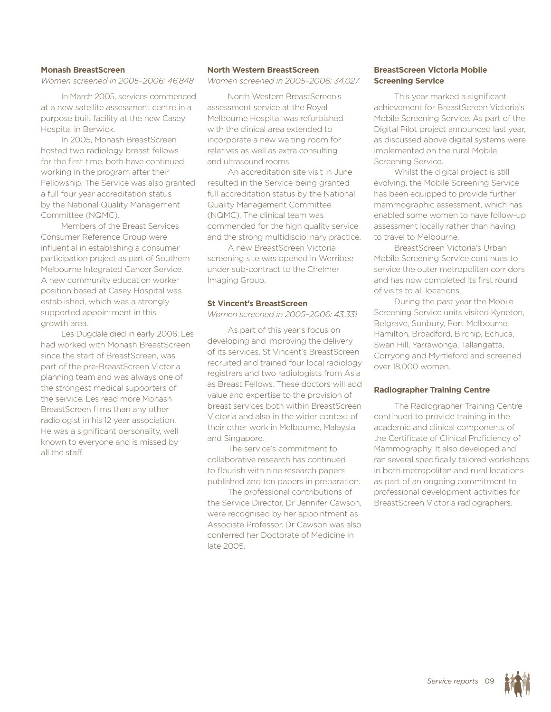### **Monash BreastScreen**

*Women screened in 2005–2006: 46,848*

In March 2005, services commenced at a new satellite assessment centre in a purpose built facility at the new Casey Hospital in Berwick.

In 2005, Monash BreastScreen hosted two radiology breast fellows for the first time, both have continued working in the program after their Fellowship. The Service was also granted a full four year accreditation status by the National Quality Management Committee (NQMC).

Members of the Breast Services Consumer Reference Group were influential in establishing a consumer participation project as part of Southern Melbourne Integrated Cancer Service. A new community education worker position based at Casey Hospital was established, which was a strongly supported appointment in this growth area.

Les Dugdale died in early 2006. Les had worked with Monash BreastScreen since the start of BreastScreen, was part of the pre-BreastScreen Victoria planning team and was always one of the strongest medical supporters of the service. Les read more Monash BreastScreen films than any other radiologist in his 12 year association. He was a significant personality, well known to everyone and is missed by all the staff.

#### **North Western BreastScreen**

*Women screened in 2005–2006: 34,027*

North Western BreastScreen's assessment service at the Royal Melbourne Hospital was refurbished with the clinical area extended to incorporate a new waiting room for relatives as well as extra consulting and ultrasound rooms.

An accreditation site visit in June resulted in the Service being granted full accreditation status by the National Quality Management Committee (NQMC). The clinical team was commended for the high quality service and the strong multidisciplinary practice.

A new BreastScreen Victoria screening site was opened in Werribee under sub-contract to the Chelmer Imaging Group.

#### **St Vincent's BreastScreen**

*Women screened in 2005–2006: 43,331*

As part of this year's focus on developing and improving the delivery of its services, St Vincent's BreastScreen recruited and trained four local radiology registrars and two radiologists from Asia as Breast Fellows. These doctors will add value and expertise to the provision of breast services both within BreastScreen Victoria and also in the wider context of their other work in Melbourne, Malaysia and Singapore.

The service's commitment to collaborative research has continued to flourish with nine research papers published and ten papers in preparation.

The professional contributions of the Service Director, Dr Jennifer Cawson, were recognised by her appointment as Associate Professor. Dr Cawson was also conferred her Doctorate of Medicine in late 2005.

## **BreastScreen Victoria Mobile Screening Service**

This year marked a significant achievement for BreastScreen Victoria's Mobile Screening Service. As part of the Digital Pilot project announced last year, as discussed above digital systems were implemented on the rural Mobile Screening Service.

Whilst the digital project is still evolving, the Mobile Screening Service has been equipped to provide further mammographic assessment, which has enabled some women to have follow-up assessment locally rather than having to travel to Melbourne.

BreastScreen Victoria's Urban Mobile Screening Service continues to service the outer metropolitan corridors and has now completed its first round of visits to all locations.

During the past year the Mobile Screening Service units visited Kyneton, Belgrave, Sunbury, Port Melbourne, Hamilton, Broadford, Birchip, Echuca, Swan Hill, Yarrawonga, Tallangatta, Corryong and Myrtleford and screened over 18,000 women.

#### **Radiographer Training Centre**

The Radiographer Training Centre continued to provide training in the academic and clinical components of the Certificate of Clinical Proficiency of Mammography. It also developed and ran several specifically tailored workshops in both metropolitan and rural locations as part of an ongoing commitment to professional development activities for BreastScreen Victoria radiographers.

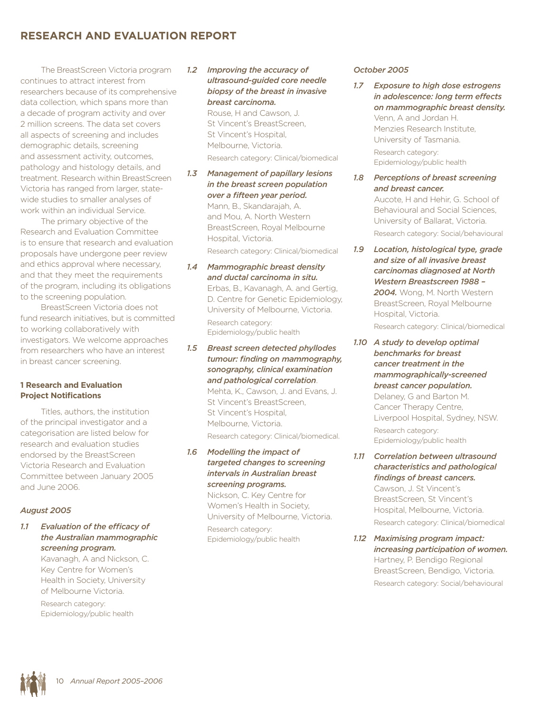# **Research and Evaluation Report**

The BreastScreen Victoria program continues to attract interest from researchers because of its comprehensive data collection, which spans more than a decade of program activity and over 2 million screens. The data set covers all aspects of screening and includes demographic details, screening and assessment activity, outcomes, pathology and histology details, and treatment. Research within BreastScreen Victoria has ranged from larger, statewide studies to smaller analyses of work within an individual Service.

The primary objective of the Research and Evaluation Committee is to ensure that research and evaluation proposals have undergone peer review and ethics approval where necessary, and that they meet the requirements of the program, including its obligations to the screening population.

BreastScreen Victoria does not fund research initiatives, but is committed to working collaboratively with investigators. We welcome approaches from researchers who have an interest in breast cancer screening.

## **1 Research and Evaluation Project Notifications**

Titles, authors, the institution of the principal investigator and a categorisation are listed below for research and evaluation studies endorsed by the BreastScreen Victoria Research and Evaluation Committee between January 2005 and June 2006.

## *August 2005*

*1.1 Evaluation of the efficacy of the Australian mammographic screening program.*

> Kavanagh, A and Nickson, C. Key Centre for Women's Health in Society, University of Melbourne Victoria.

Research category: Epidemiology/public health

## *1.2 Improving the accuracy of ultrasound-guided core needle biopsy of the breast in invasive breast carcinoma.*

Rouse, H and Cawson, J. St Vincent's BreastScreen, St Vincent's Hospital, Melbourne, Victoria. Research category: Clinical/biomedical

- *1.3 Management of papillary lesions in the breast screen population over a fifteen year period.* Mann, B., Skandarajah, A. and Mou, A. North Western BreastScreen, Royal Melbourne Hospital, Victoria. Research category: Clinical/biomedical
- *1.4 Mammographic breast density and ductal carcinoma in situ.* Erbas, B., Kavanagh, A. and Gertig, D. Centre for Genetic Epidemiology, University of Melbourne, Victoria. Research category: Epidemiology/public health
- *1.5 Breast screen detected phyllodes tumour: finding on mammography, sonography, clinical examination and pathological correlation*. Mehta, K., Cawson, J. and Evans, J. St Vincent's BreastScreen, St Vincent's Hospital, Melbourne, Victoria. Research category: Clinical/biomedical.
- *1.6 Modelling the impact of targeted changes to screening intervals in Australian breast screening programs.*

Nickson, C. Key Centre for Women's Health in Society, University of Melbourne, Victoria. Research category: Epidemiology/public health

#### *October 2005*

*1.7 Exposure to high dose estrogens in adolescence: long term effects on mammographic breast density.*  Venn, A and Jordan H. Menzies Research Institute, University of Tasmania. Research category: Epidemiology/public health *1.8 Perceptions of breast screening* 

*and breast cancer.* Aucote, H and Hehir, G. School of Behavioural and Social Sciences, University of Ballarat, Victoria.

Research category: Social/behavioural

*1.9 Location, histological type, grade and size of all invasive breast carcinomas diagnosed at North Western Breastscreen 1988 – 2004.* Wong, M. North Western BreastScreen, Royal Melbourne Hospital, Victoria.

Research category: Clinical/biomedical

*1.10 A study to develop optimal benchmarks for breast cancer treatment in the mammographically-screened breast cancer population.*  Delaney, G and Barton M. Cancer Therapy Centre, Liverpool Hospital, Sydney, NSW. Research category: Epidemiology/public health

*1.11 Correlation between ultrasound characteristics and pathological findings of breast cancers.*  Cawson, J. St Vincent's BreastScreen, St Vincent's Hospital, Melbourne, Victoria. Research category: Clinical/biomedical

*1.12 Maximising program impact: increasing participation of women.* Hartney, P. Bendigo Regional BreastScreen, Bendigo, Victoria. Research category: Social/behavioural

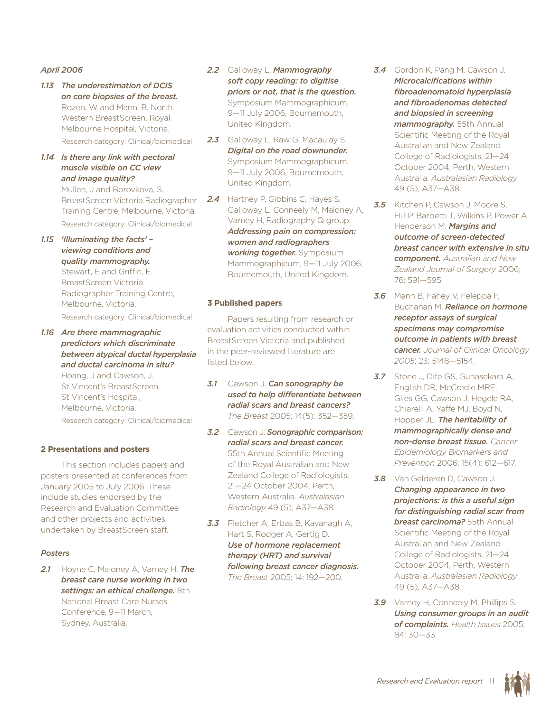## *April 2006*

- *1.13 The underestimation of DCIS on core biopsies of the breast.*  Rozen, W and Mann, B. North Western BreastScreen, Royal Melbourne Hospital, Victoria. Research category: Clinical/biomedical
- *1.14 Is there any link with pectoral muscle visible on CC view and image quality?* Mullen, J and Borovkova, S.

BreastScreen Victoria Radiographer Training Centre, Melbourne, Victoria. Research category: Clinical/biomedical

- *1.15 'Illuminating the facts' viewing conditions and quality mammography.* Stewart, E and Griffin, E. BreastScreen Victoria Radiographer Training Centre, Melbourne, Victoria. Research category: Clinical/biomedical
- *1.16 Are there mammographic predictors which discriminate between atypical ductal hyperplasia and ductal carcinoma in situ?* Hoang, J and Cawson, J. St Vincent's BreastScreen, St Vincent's Hospital, Melbourne, Victoria.

Research category: Clinical/biomedical

## **2 Presentations and posters**

This section includes papers and posters presented at conferences from January 2005 to July 2006. These include studies endorsed by the Research and Evaluation Committee and other projects and activities undertaken by BreastScreen staff.

#### *Posters*

*2.1* Hoyne C, Maloney A, Varney H. *The breast care nurse working in two settings: an ethical challenge.* 8th National Breast Care Nurses Conference, 9—11 March, Sydney, Australia.

- *2.2* Galloway L. *Mammography soft copy reading: to digitise priors or not, that is the question.* Symposium Mammographicum, 9—11 July 2006, Bournemouth, United Kingdom.
- 2.3 Galloway L, Raw G, Macaulay S. *Digital on the road downunder.* Symposium Mammographicum, 9—11 July 2006, Bournemouth, United Kingdom.
- 2.4 Hartney P, Gibbins C, Hayes S, Galloway L, Conneely M, Maloney A, Varney H, Radiography Q group. *Addressing pain on compression: women and radiographers working together.* Symposium Mammographicum, 9—11 July 2006, Bournemouth, United Kingdom.

### **3 Published papers**

Papers resulting from research or evaluation activities conducted within BreastScreen Victoria and published in the peer-reviewed literature are listed below.

- *3.1* Cawson J. *Can sonography be used to help differentiate between radial scars and breast cancers? The Breast* 2005; 14(5): 352—359.
- *3.2* Cawson J. *Sonographic comparison: radial scars and breast cancer.* 55th Annual Scientific Meeting of the Royal Australian and New Zealand College of Radiologists, 21—24 October 2004, Perth, Western Australia. *Australasian Radiology* 49 (5), A37—A38.
- *3.3* Fletcher A, Erbas B, Kavanagh A, Hart S, Rodger A, Gertig D. *Use of hormone replacement therapy (HRT) and survival following breast cancer diagnosis. The Breast* 2005; 14: 192—200.
- *3.4* Gordon K, Pang M, Cawson J. *Microcalcifications within fibroadenomatoid hyperplasia and fibroadenomas detected and biopsied in screening mammography.* 55th Annual Scientific Meeting of the Royal Australian and New Zealand College of Radiologists, 21—24 October 2004, Perth, Western Australia. *Australasian Radiology* 49 (5), A37—A38.
- *3.5* Kitchen P, Cawson J, Moore S, Hill P, Barbetti T, Wilkins P, Power A, Henderson M. *Margins and outcome of screen-detected breast cancer with extensive in situ component. Australian and New Zealand Journal of Surgery* 2006; 76: 591—595.
- *3.6* Mann B, Fahey V, Feleppa F, Buchanan M. *Reliance on hormone receptor assays of surgical specimens may compromise outcome in patients with breast cancer. Journal of Clinical Oncology 2005*; 23: 5148—5154.
- *3.7* Stone J, Dite GS, Gunasekara A, English DR, McCredie MRE, Giles GG, Cawson J, Hegele RA, Chiarelli A, Yaffe MJ, Boyd N, Hopper JL. *The heritability of mammographically dense and non-dense breast tissue. Cancer Epidemiology Biomarkers and Prevention* 2006; 15(4): 612—617.
- *3.8* Van Gelderen D, Cawson J. *Changing appearance in two projections: is this a useful sign for distinguishing radial scar from breast carcinoma?* 55th Annual Scientific Meeting of the Royal Australian and New Zealand College of Radiologists, 21—24 October 2004, Perth, Western Australia. *Australasian Radiology* 49 (5), A37—A38.
- *3.9* Varney H, Conneely M, Phillips S. *Using consumer groups in an audit of complaints. Health Issues* 2005; 84: 30—33.

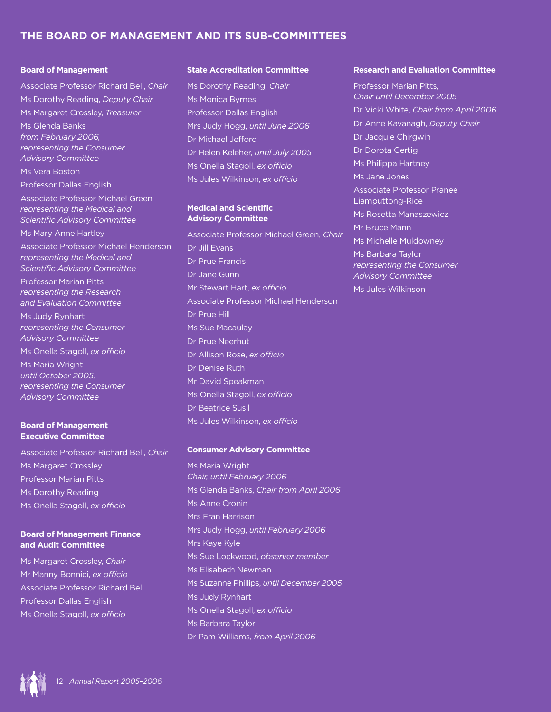# **The Board of Management and its Sub-committees**

## **Board of Management**

Associate Professor Richard Bell, *Chair* Ms Dorothy Reading, *Deputy Chair* Ms Margaret Crossley, *Treasurer* Ms Glenda Banks *from February 2006, representing the Consumer Advisory Committee* Ms Vera Boston Professor Dallas English Associate Professor Michael Green *representing the Medical and Scientific Advisory Committee* Ms Mary Anne Hartley Associate Professor Michael Henderson *representing the Medical and Scientific Advisory Committee* Professor Marian Pitts *representing the Research* 

*and Evaluation Committee* Ms Judy Rynhart *representing the Consumer Advisory Committee* Ms Onella Stagoll, *ex officio*

Ms Maria Wright *until October 2005, representing the Consumer Advisory Committee*

### **Board of Management Executive Committee**

Associate Professor Richard Bell, *Chair* Ms Margaret Crossley Professor Marian Pitts Ms Dorothy Reading Ms Onella Stagoll, *ex officio*

## **Board of Management Finance and Audit Committee**

Ms Margaret Crossley, *Chair* Mr Manny Bonnici, *ex officio* Associate Professor Richard Bell Professor Dallas English Ms Onella Stagoll, *ex officio*

### **State Accreditation Committee**

Ms Dorothy Reading, *Chair* Ms Monica Byrnes Professor Dallas English Mrs Judy Hogg, *until June 2006* Dr Michael Jefford Dr Helen Keleher, *until July 2005* Ms Onella Stagoll, *ex officio* Ms Jules Wilkinson, *ex officio*

#### **Medical and Scientific Advisory Committee**

Associate Professor Michael Green, *Chair* Dr Jill Evans Dr Prue Francis Dr Jane Gunn Mr Stewart Hart, *ex officio* Associate Professor Michael Henderson Dr Prue Hill Ms Sue Macaulay Dr Prue Neerhut Dr Allison Rose, *ex officio* Dr Denise Ruth Mr David Speakman Ms Onella Stagoll, *ex officio* Dr Beatrice Susil Ms Jules Wilkinson, *ex officio*

## **Consumer Advisory Committee**

Ms Maria Wright *Chair, until February 2006* Ms Glenda Banks, *Chair from April 2006* Ms Anne Cronin Mrs Fran Harrison Mrs Judy Hogg, *until February 2006* Mrs Kaye Kyle Ms Sue Lockwood, *observer member* Ms Elisabeth Newman Ms Suzanne Phillips, *until December 2005* Ms Judy Rynhart Ms Onella Stagoll, *ex officio* Ms Barbara Taylor Dr Pam Williams, *from April 2006*

#### **Research and Evaluation Committee**

Professor Marian Pitts, *Chair until December 2005* Dr Vicki White, *Chair from April 2006* Dr Anne Kavanagh, *Deputy Chair* Dr Jacquie Chirgwin Dr Dorota Gertig Ms Philippa Hartney Ms Jane Jones Associate Professor Pranee Liamputtong-Rice Ms Rosetta Manaszewicz Mr Bruce Mann Ms Michelle Muldowney Ms Barbara Taylor *representing the Consumer Advisory Committee* Ms Jules Wilkinson

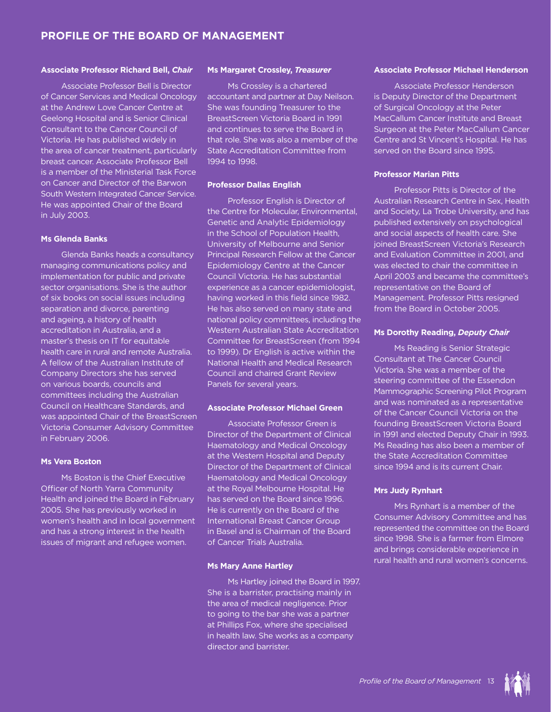## **Profile of the Board of Management**

#### **Associate Professor Richard Bell,** *Chair*

Associate Professor Bell is Director of Cancer Services and Medical Oncology at the Andrew Love Cancer Centre at Geelong Hospital and is Senior Clinical Consultant to the Cancer Council of Victoria. He has published widely in the area of cancer treatment, particularly breast cancer. Associate Professor Bell is a member of the Ministerial Task Force on Cancer and Director of the Barwon South Western Integrated Cancer Service. He was appointed Chair of the Board in July 2003.

#### **Ms Glenda Banks**

Glenda Banks heads a consultancy managing communications policy and implementation for public and private sector organisations. She is the author of six books on social issues including separation and divorce, parenting and ageing, a history of health accreditation in Australia, and a master's thesis on IT for equitable health care in rural and remote Australia. A fellow of the Australian Institute of Company Directors she has served on various boards, councils and committees including the Australian Council on Healthcare Standards, and was appointed Chair of the BreastScreen Victoria Consumer Advisory Committee in February 2006.

#### **Ms Vera Boston**

Ms Boston is the Chief Executive Officer of North Yarra Community Health and joined the Board in February 2005. She has previously worked in women's health and in local government and has a strong interest in the health issues of migrant and refugee women.

#### **Ms Margaret Crossley,** *Treasurer*

Ms Crossley is a chartered accountant and partner at Day Neilson. She was founding Treasurer to the BreastScreen Victoria Board in 1991 and continues to serve the Board in that role. She was also a member of the State Accreditation Committee from 1994 to 1998.

#### **Professor Dallas English**

Professor English is Director of the Centre for Molecular, Environmental, Genetic and Analytic Epidemiology in the School of Population Health, University of Melbourne and Senior Principal Research Fellow at the Cancer Epidemiology Centre at the Cancer Council Victoria. He has substantial experience as a cancer epidemiologist, having worked in this field since 1982. He has also served on many state and national policy committees, including the Western Australian State Accreditation Committee for BreastScreen (from 1994 to 1999). Dr English is active within the National Health and Medical Research Council and chaired Grant Review Panels for several years.

#### **Associate Professor Michael Green**

Associate Professor Green is Director of the Department of Clinical Haematology and Medical Oncology at the Western Hospital and Deputy Director of the Department of Clinical Haematology and Medical Oncology at the Royal Melbourne Hospital. He has served on the Board since 1996. He is currently on the Board of the International Breast Cancer Group in Basel and is Chairman of the Board of Cancer Trials Australia.

#### **Ms Mary Anne Hartley**

Ms Hartley joined the Board in 1997. She is a barrister, practising mainly in the area of medical negligence. Prior to going to the bar she was a partner at Phillips Fox, where she specialised in health law. She works as a company director and barrister.

#### **Associate Professor Michael Henderson**

Associate Professor Henderson is Deputy Director of the Department of Surgical Oncology at the Peter MacCallum Cancer Institute and Breast Surgeon at the Peter MacCallum Cancer Centre and St Vincent's Hospital. He has served on the Board since 1995.

#### **Professor Marian Pitts**

Professor Pitts is Director of the Australian Research Centre in Sex, Health and Society, La Trobe University, and has published extensively on psychological and social aspects of health care. She joined BreastScreen Victoria's Research and Evaluation Committee in 2001, and was elected to chair the committee in April 2003 and became the committee's representative on the Board of Management. Professor Pitts resigned from the Board in October 2005.

#### **Ms Dorothy Reading,** *Deputy Chair*

Ms Reading is Senior Strategic Consultant at The Cancer Council Victoria. She was a member of the steering committee of the Essendon Mammographic Screening Pilot Program and was nominated as a representative of the Cancer Council Victoria on the founding BreastScreen Victoria Board in 1991 and elected Deputy Chair in 1993. Ms Reading has also been a member of the State Accreditation Committee since 1994 and is its current Chair.

#### **Mrs Judy Rynhart**

Mrs Rynhart is a member of the Consumer Advisory Committee and has represented the committee on the Board since 1998. She is a farmer from Elmore and brings considerable experience in rural health and rural women's concerns.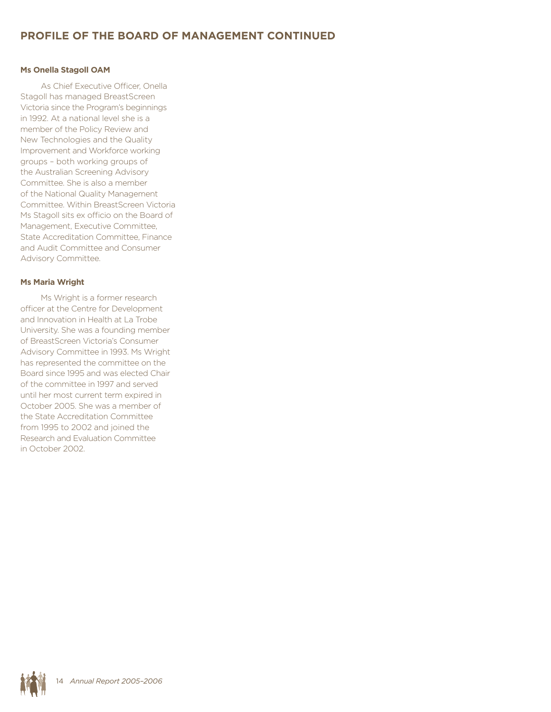## **Ms Onella Stagoll OAM**

As Chief Executive Officer, Onella Stagoll has managed BreastScreen Victoria since the Program's beginnings in 1992. At a national level she is a member of the Policy Review and New Technologies and the Quality Improvement and Workforce working groups – both working groups of the Australian Screening Advisory Committee. She is also a member of the National Quality Management Committee. Within BreastScreen Victoria Ms Stagoll sits ex officio on the Board of Management, Executive Committee, State Accreditation Committee, Finance and Audit Committee and Consumer Advisory Committee.

## **Ms Maria Wright**

Ms Wright is a former research officer at the Centre for Development and Innovation in Health at La Trobe University. She was a founding member of BreastScreen Victoria's Consumer Advisory Committee in 1993. Ms Wright has represented the committee on the Board since 1995 and was elected Chair of the committee in 1997 and served until her most current term expired in October 2005. She was a member of the State Accreditation Committee from 1995 to 2002 and joined the Research and Evaluation Committee in October 2002.

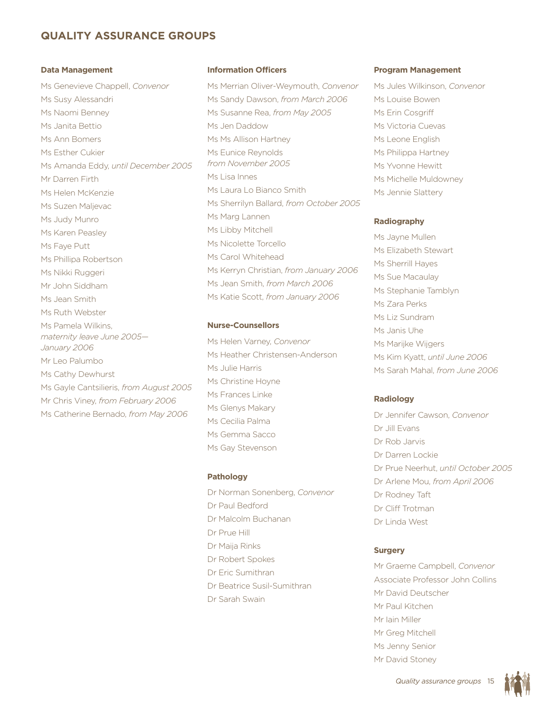# **Quality assurance groups**

### **Data Management**

Ms Genevieve Chappell, *Convenor* Ms Susy Alessandri Ms Naomi Benney Ms Janita Bettio Ms Ann Bomers Ms Esther Cukier Ms Amanda Eddy, *until December 2005* Mr Darren Firth Ms Helen McKenzie Ms Suzen Maljevac Ms Judy Munro Ms Karen Peasley Ms Faye Putt Ms Phillipa Robertson Ms Nikki Ruggeri Mr John Siddham Ms Jean Smith Ms Ruth Webster Ms Pamela Wilkins, *maternity leave June 2005— January 2006* Mr Leo Palumbo Ms Cathy Dewhurst Ms Gayle Cantsilieris, *from August 2005* Mr Chris Viney, *from February 2006* Ms Catherine Bernado, *from May 2006*

#### **Information Officers**

Ms Merrian Oliver-Weymouth, *Convenor* Ms Sandy Dawson, *from March 2006* Ms Susanne Rea, *from May 2005* Ms Jen Daddow Ms Ms Allison Hartney Ms Eunice Reynolds *from November 2005* Ms Lisa Innes Ms Laura Lo Bianco Smith Ms Sherrilyn Ballard, *from October 2005* Ms Marg Lannen Ms Libby Mitchell Ms Nicolette Torcello Ms Carol Whitehead Ms Kerryn Christian, *from January 2006* Ms Jean Smith, *from March 2006* Ms Katie Scott, *from January 2006*

## **Nurse-Counsellors**

Ms Helen Varney, *Convenor* Ms Heather Christensen-Anderson Ms Julie Harris Ms Christine Hoyne Ms Frances Linke Ms Glenys Makary Ms Cecilia Palma Ms Gemma Sacco Ms Gay Stevenson

#### **Pathology**

Dr Norman Sonenberg, *Convenor* Dr Paul Bedford Dr Malcolm Buchanan Dr Prue Hill Dr Maija Rinks Dr Robert Spokes Dr Eric Sumithran Dr Beatrice Susil-Sumithran Dr Sarah Swain

#### **Program Management**

Ms Jules Wilkinson, *Conveno*r Ms Louise Bowen Ms Erin Cosariff Ms Victoria Cuevas Ms Leone English Ms Philippa Hartney Ms Yvonne Hewitt Ms Michelle Muldowney Ms Jennie Slattery

#### **Radiography**

Ms Jayne Mullen Ms Elizabeth Stewart Ms Sherrill Hayes Ms Sue Macaulay Ms Stephanie Tamblyn Ms Zara Perks Ms Liz Sundram Ms Janis Uhe Ms Marijke Wijgers Ms Kim Kyatt, *until June 2006* Ms Sarah Mahal, *from June 2006*

#### **Radiology**

Dr Jennifer Cawson, *Convenor* Dr Jill Evans Dr Rob Jarvis Dr Darren Lockie Dr Prue Neerhut, *until October 2005* Dr Arlene Mou, *from April 2006* Dr Rodney Taft Dr Cliff Trotman Dr Linda West

## **Surgery**

Mr Graeme Campbell, *Convenor* Associate Professor John Collins Mr David Deutscher Mr Paul Kitchen Mr Iain Miller Mr Greg Mitchell Ms Jenny Senior Mr David Stoney

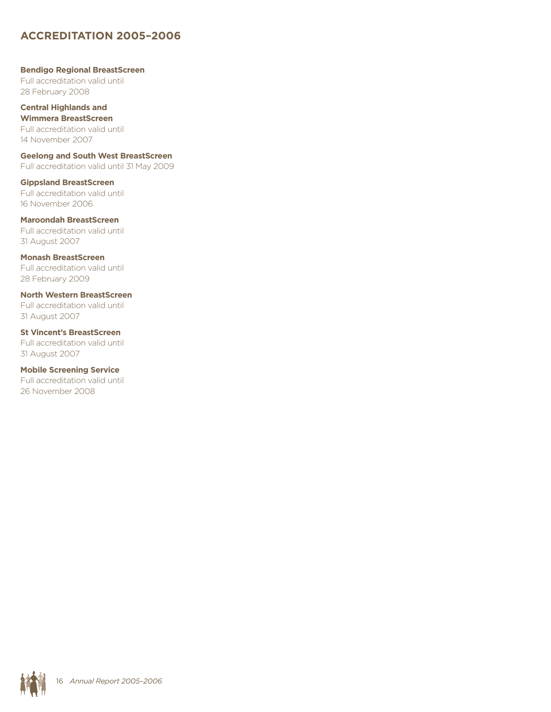# **Accreditation 2005–2006**

## **Bendigo Regional BreastScreen** Full accreditation valid until 28 February 2008

**Central Highlands and Wimmera BreastScreen** Full accreditation valid until 14 November 2007

**Geelong and South West BreastScreen** Full accreditation valid until 31 May 2009

**Gippsland BreastScreen** Full accreditation valid until 16 November 2006

**Maroondah BreastScreen** Full accreditation valid until 31 August 2007

**Monash BreastScreen** Full accreditation valid until 28 February 2009

**North Western BreastScreen** Full accreditation valid until 31 August 2007

**St Vincent's BreastScreen** Full accreditation valid until 31 August 2007

**Mobile Screening Service** Full accreditation valid until 26 November 2008

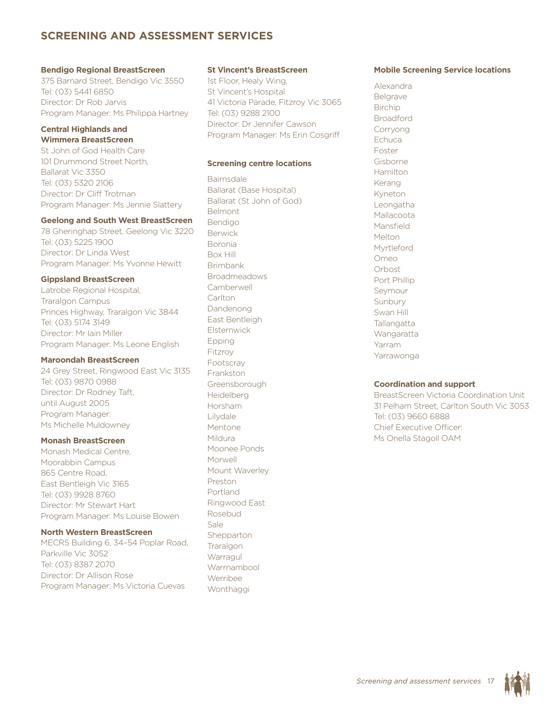# **Screening and assessment services**

#### **Bendigo Regional BreastScreen**

375 Barnard Street, Bendigo Vic 3550 Tel: (03) 5441 6850 Director: Dr Rob Jarvis Program Manager: Ms Philippa Hartney

## **Central Highlands and Wimmera BreastScreen**

St John of God Health Care 101 Drummond Street North, Ballarat Vic 3350 Tel: (03) 5320 2106 Director: Dr Cliff Trotman Program Manager: Ms Jennie Slattery

#### **Geelong and South West BreastScreen**

78 Gheringhap Street, Geelong Vic 3220 Tel: (03) 5225 1900 Director: Dr Linda West Program Manager: Ms Yvonne Hewitt

#### **Gippsland BreastScreen**

Latrobe Regional Hospital, Traralgon Campus Princes Highway, Traralgon Vic 3844 Tel: (03) 5174 3149 Director: Mr Iain Miller Program Manager: Ms Leone English

#### **Maroondah BreastScreen**

24 Grey Street, Ringwood East Vic 3135 Tel: (03) 9870 0988 Director: Dr Rodney Taft, until August 2005 Program Manager: Ms Michelle Muldowney

### **Monash BreastScreen**

Monash Medical Centre, Moorabbin Campus 865 Centre Road, East Bentleigh Vic 3165 Tel: (03) 9928 8760 Director: Mr Stewart Hart Program Manager: Ms Louise Bowen

#### **North Western BreastScreen**

MECRS Building 6, 34–54 Poplar Road, Parkville Vic 3052 Tel: (03) 8387 2070 Director: Dr Allison Rose Program Manager: Ms Victoria Cuevas

#### **St Vincent's BreastScreen**

1st Floor, Healy Wing, St Vincent's Hospital 41 Victoria Parade, Fitzroy Vic 3065 Tel: (03) 9288 2100 Director: Dr Jennifer Cawson Program Manager: Ms Erin Cosgriff

#### **Screening centre locations**

Bairnsdale Ballarat (Base Hospital) Ballarat (St John of God) Belmont Bendigo Berwick Boronia Box Hill Brimbank Broadmeadows **Camberwell Carlton** Dandenong East Bentleigh **Elsternwick** Epping Fitzroy Footscray Frankston Greensborough Heidelberg Horsham Lilydale Mentone Mildura Moonee Ponds Morwell Mount Waverley Preston Portland Ringwood East Rosebud Sale **Shepparton Traralgon Warragul** Warrnambool Werribee Wonthaggi

## **Mobile Screening Service locations**

Alexandra Belgrave Birchip **Broadford** Corryong **Echuca** Foster Gisborne Hamilton Kerang Kyneton Leongatha Mallacoota Mansfield Melton Myrtleford Omeo Orbost Port Phillip Seymour Sunbury Swan Hill **Tallangatta** Wangaratta Yarram Yarrawonga

#### **Coordination and support**

BreastScreen Victoria Coordination Unit 31 Pelham Street, Carlton South Vic 3053 Tel: (03) 9660 6888 Chief Executive Officer: Ms Onella Stagoll OAM

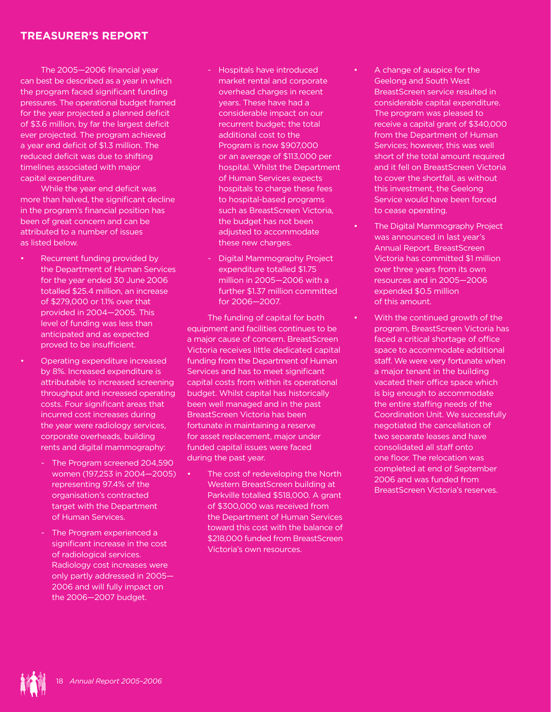# **Treasurer's report**

The 2005—2006 financial year can best be described as a year in which the program faced significant funding pressures. The operational budget framed for the year projected a planned deficit of \$3.6 million, by far the largest deficit ever projected. The program achieved a year end deficit of \$1.3 million. The reduced deficit was due to shifting timelines associated with major capital expenditure.

While the year end deficit was more than halved, the significant decline in the program's financial position has been of great concern and can be attributed to a number of issues as listed below.

- Recurrent funding provided by the Department of Human Services for the year ended 30 June 2006 totalled \$25.4 million, an increase of \$279,000 or 1.1% over that provided in 2004—2005. This level of funding was less than anticipated and as expected proved to be insufficient.
- Operating expenditure increased by 8%. Increased expenditure is attributable to increased screening throughput and increased operating costs. Four significant areas that incurred cost increases during the year were radiology services, corporate overheads, building rents and digital mammography:
	- The Program screened 204,590 women (197,253 in 2004—2005) representing 97.4% of the organisation's contracted target with the Department of Human Services.
	- The Program experienced a significant increase in the cost of radiological services. Radiology cost increases were only partly addressed in 2005— 2006 and will fully impact on the 2006—2007 budget.
- Hospitals have introduced market rental and corporate overhead charges in recent years. These have had a considerable impact on our recurrent budget; the total additional cost to the Program is now \$907,000 or an average of \$113,000 per hospital. Whilst the Department of Human Services expects hospitals to charge these fees to hospital-based programs such as BreastScreen Victoria, the budget has not been adjusted to accommodate these new charges.
- Digital Mammography Project expenditure totalled \$1.75 million in 2005—2006 with a further \$1.37 million committed for 2006—2007.

The funding of capital for both equipment and facilities continues to be a major cause of concern. BreastScreen Victoria receives little dedicated capital funding from the Department of Human Services and has to meet significant capital costs from within its operational budget. Whilst capital has historically been well managed and in the past BreastScreen Victoria has been fortunate in maintaining a reserve for asset replacement, major under funded capital issues were faced during the past year.

The cost of redeveloping the North Western BreastScreen building at Parkville totalled \$518,000. A grant of \$300,000 was received from the Department of Human Services toward this cost with the balance of \$218,000 funded from BreastScreen Victoria's own resources.

- A change of auspice for the Geelong and South West BreastScreen service resulted in considerable capital expenditure. The program was pleased to receive a capital grant of \$340,000 from the Department of Human Services; however, this was well short of the total amount required and it fell on BreastScreen Victoria to cover the shortfall, as without this investment, the Geelong Service would have been forced to cease operating.
- The Digital Mammography Project was announced in last year's Annual Report. BreastScreen Victoria has committed \$1 million over three years from its own resources and in 2005—2006 expended \$0.5 million of this amount.
	- With the continued growth of the program, BreastScreen Victoria has faced a critical shortage of office space to accommodate additional staff. We were very fortunate when a major tenant in the building vacated their office space which is big enough to accommodate the entire staffing needs of the Coordination Unit. We successfully negotiated the cancellation of two separate leases and have consolidated all staff onto one floor. The relocation was completed at end of September 2006 and was funded from BreastScreen Victoria's reserves.

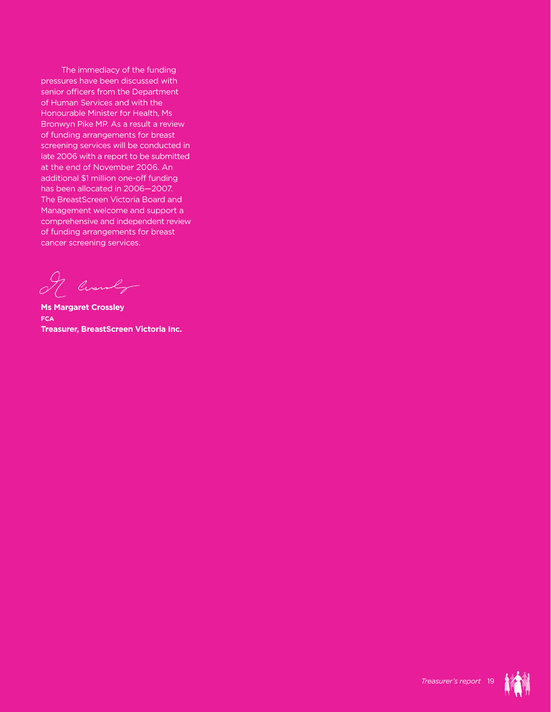The immediacy of the funding pressures have been discussed with senior officers from the Department of Human Services and with the Honourable Minister for Health, Ms Bronwyn Pike MP. As a result a review of funding arrangements for breast screening services will be conducted in late 2006 with a report to be submitted at the end of November 2006. An additional \$1 million one-off funding has been allocated in 2006—2007. The BreastScreen Victoria Board and Management welcome and support a comprehensive and independent review of funding arrangements for breast cancer screening services.

I Cuanty

**Ms Margaret Crossley FCA Treasurer, BreastScreen Victoria Inc.**



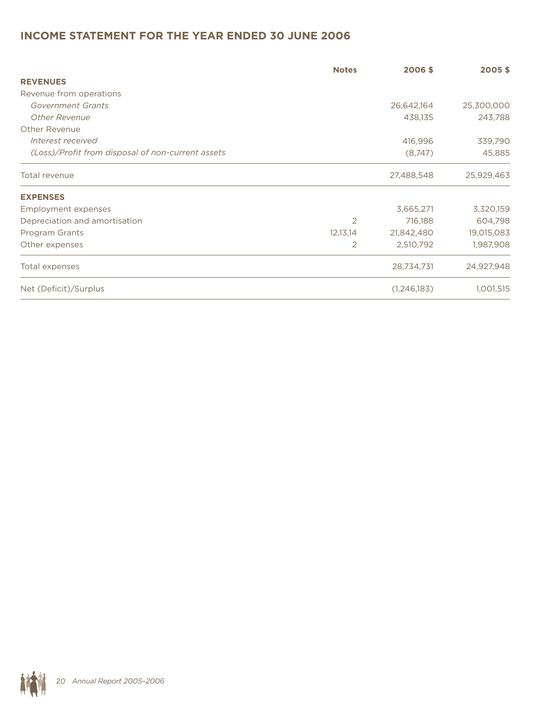# **Income statement for the year ended 30 June 2006**

|                                                   | <b>Notes</b>   | 2006\$        | 2005\$     |
|---------------------------------------------------|----------------|---------------|------------|
| <b>REVENUES</b>                                   |                |               |            |
| Revenue from operations                           |                |               |            |
| Government Grants                                 |                | 26,642,164    | 25,300,000 |
| <b>Other Revenue</b>                              |                | 438,135       | 243,788    |
| Other Revenue                                     |                |               |            |
| Interest received                                 |                | 416,996       | 339,790    |
| (Loss)/Profit from disposal of non-current assets |                | (8,747)       | 45,885     |
| Total revenue                                     |                | 27,488,548    | 25,929,463 |
| <b>EXPENSES</b>                                   |                |               |            |
| Employment expenses                               |                | 3,665,271     | 3,320,159  |
| Depreciation and amortisation                     | 2              | 716,188       | 604,798    |
| Program Grants                                    | 12,13,14       | 21,842,480    | 19,015,083 |
| Other expenses                                    | $\overline{2}$ | 2,510,792     | 1,987,908  |
| Total expenses                                    |                | 28,734,731    | 24,927,948 |
| Net (Deficit)/Surplus                             |                | (1, 246, 183) | 1,001,515  |

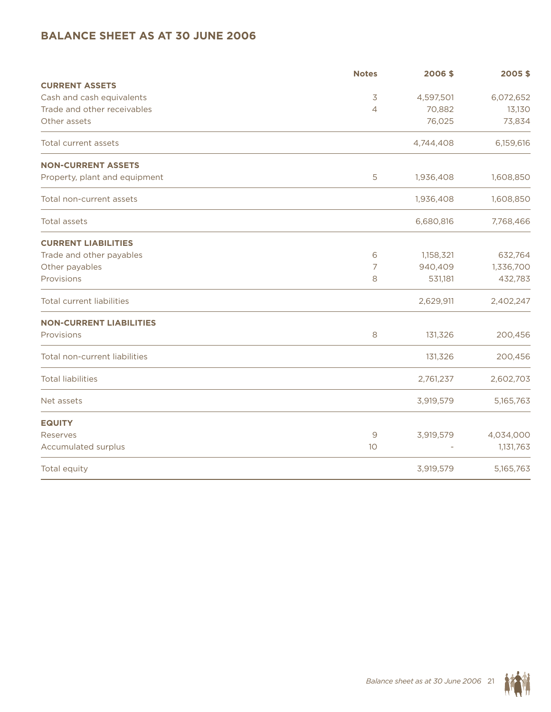# **Balance sheet as at 30 June 2006**

|                                  | <b>Notes</b>   | 2006\$    | 2005\$    |
|----------------------------------|----------------|-----------|-----------|
| <b>CURRENT ASSETS</b>            |                |           |           |
| Cash and cash equivalents        | 3              | 4,597,501 | 6,072,652 |
| Trade and other receivables      | $\overline{4}$ | 70,882    | 13,130    |
| Other assets                     |                | 76,025    | 73,834    |
| Total current assets             |                | 4,744,408 | 6,159,616 |
| <b>NON-CURRENT ASSETS</b>        |                |           |           |
| Property, plant and equipment    | 5              | 1,936,408 | 1,608,850 |
| Total non-current assets         |                | 1,936,408 | 1,608,850 |
| Total assets                     |                | 6,680,816 | 7,768,466 |
| <b>CURRENT LIABILITIES</b>       |                |           |           |
| Trade and other payables         | 6              | 1,158,321 | 632,764   |
| Other payables                   | 7              | 940,409   | 1,336,700 |
| Provisions                       | 8              | 531,181   | 432,783   |
| <b>Total current liabilities</b> |                | 2,629,911 | 2,402,247 |
| <b>NON-CURRENT LIABILITIES</b>   |                |           |           |
| Provisions                       | 8              | 131,326   | 200,456   |
| Total non-current liabilities    |                | 131,326   | 200,456   |
| <b>Total liabilities</b>         |                | 2,761,237 | 2,602,703 |
| Net assets                       |                | 3,919,579 | 5,165,763 |
| <b>EQUITY</b>                    |                |           |           |
| Reserves                         | $\mathsf 9$    | 3,919,579 | 4,034,000 |
| Accumulated surplus              | 10             |           | 1,131,763 |
| Total equity                     |                | 3,919,579 | 5,165,763 |

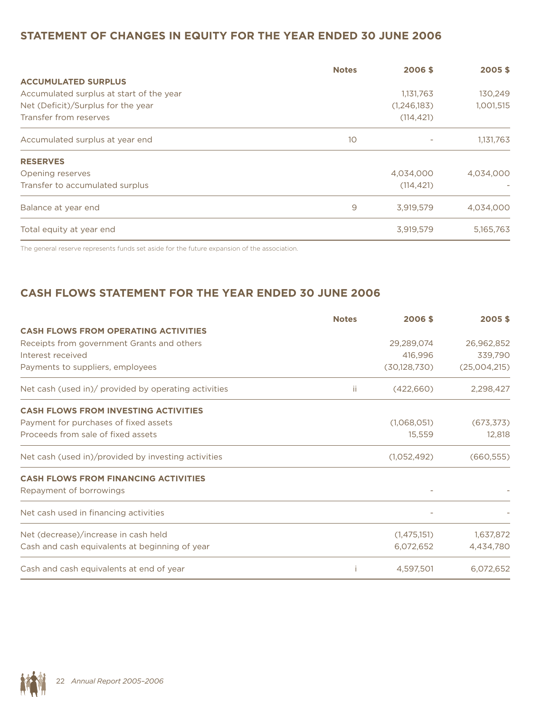# **Statement of changes in equity for the year ended 30 June 2006**

|                                          | <b>Notes</b> | 2006\$                       | 2005\$    |
|------------------------------------------|--------------|------------------------------|-----------|
| <b>ACCUMULATED SURPLUS</b>               |              |                              |           |
| Accumulated surplus at start of the year |              | 1,131,763                    |           |
| Net (Deficit)/Surplus for the year       |              | (1,246,183)                  | 1,001,515 |
| Transfer from reserves                   |              | (114, 421)                   |           |
| Accumulated surplus at year end          | 10           | $\qquad \qquad \blacksquare$ | 1,131,763 |
| <b>RESERVES</b>                          |              |                              |           |
| Opening reserves                         |              | 4,034,000                    | 4.034.000 |
| Transfer to accumulated surplus          |              | (114, 421)                   |           |
| Balance at year end                      | 9            | 3,919,579                    | 4,034,000 |
| Total equity at year end                 |              | 3,919,579                    | 5,165,763 |

The general reserve represents funds set aside for the future expansion of the association.

# **Cash flows statement for the year ended 30 June 2006**

|                                                      | <b>Notes</b> | 2006\$         | 2005\$       |
|------------------------------------------------------|--------------|----------------|--------------|
| <b>CASH FLOWS FROM OPERATING ACTIVITIES</b>          |              |                |              |
| Receipts from government Grants and others           |              | 29,289,074     | 26,962,852   |
| Interest received                                    |              | 416,996        | 339,790      |
| Payments to suppliers, employees                     |              | (30, 128, 730) | (25,004,215) |
| Net cash (used in)/ provided by operating activities | ΪĹ.          | (422,660)      | 2,298,427    |
| <b>CASH FLOWS FROM INVESTING ACTIVITIES</b>          |              |                |              |
| Payment for purchases of fixed assets                |              | (1,068,051)    | (673, 373)   |
| Proceeds from sale of fixed assets                   |              | 15,559         | 12,818       |
| Net cash (used in)/provided by investing activities  |              | (1,052,492)    | (660, 555)   |
| <b>CASH FLOWS FROM FINANCING ACTIVITIES</b>          |              |                |              |
| Repayment of borrowings                              |              |                |              |
| Net cash used in financing activities                |              | -              |              |
| Net (decrease)/increase in cash held                 |              | (1,475,151)    | 1,637,872    |
| Cash and cash equivalents at beginning of year       |              | 6,072,652      | 4,434,780    |
| Cash and cash equivalents at end of year             |              | 4,597,501      | 6,072,652    |

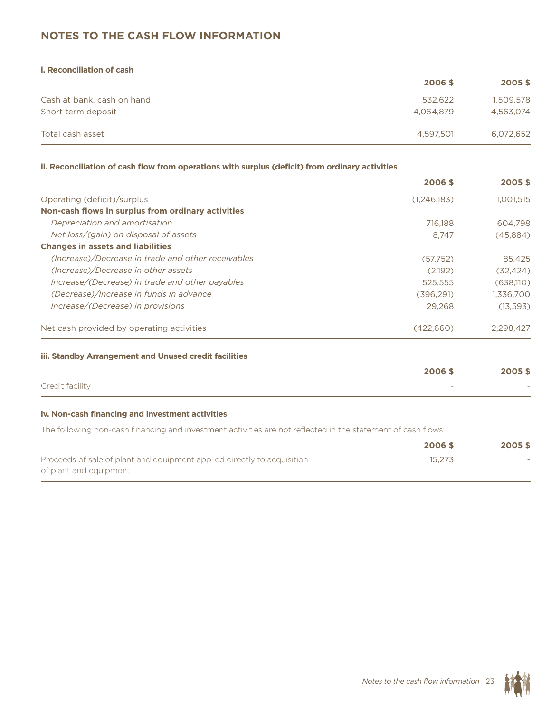# **Notes to the Cash Flow Information**

| <b>i. Reconciliation of cash</b> |           |           |
|----------------------------------|-----------|-----------|
|                                  | 2006 \$   | 2005\$    |
| Cash at bank, cash on hand       | 532.622   | 1,509,578 |
| Short term deposit               | 4.064.879 | 4,563,074 |
| Total cash asset                 | 4,597,501 | 6,072,652 |

### **ii. Reconciliation of cash flow from operations with surplus (deficit) from ordinary activities**

|                                                    | 2006 \$     | 2005\$    |
|----------------------------------------------------|-------------|-----------|
| Operating (deficit)/surplus                        | (1,246,183) | 1,001,515 |
| Non-cash flows in surplus from ordinary activities |             |           |
| Depreciation and amortisation                      | 716.188     | 604.798   |
| Net loss/(gain) on disposal of assets              | 8.747       | (45,884)  |
| <b>Changes in assets and liabilities</b>           |             |           |
| (Increase)/Decrease in trade and other receivables | (57,752)    | 85,425    |
| (Increase)/Decrease in other assets                | (2,192)     | (32, 424) |
| Increase/(Decrease) in trade and other payables    | 525.555     | (638,110) |
| (Decrease)/Increase in funds in advance            | (396, 291)  | 1,336,700 |
| Increase/(Decrease) in provisions                  | 29.268      | (13,593)  |
| Net cash provided by operating activities          | (422,660)   | 2,298,427 |
|                                                    |             |           |

### **iii. Standby Arrangement and Unused credit facilities**

|                 | 2006\$                   | 2005\$                   |
|-----------------|--------------------------|--------------------------|
| Credit facility | $\overline{\phantom{a}}$ | $\overline{\phantom{a}}$ |

### **iv. Non-cash financing and investment activities**

The following non-cash financing and investment activities are not reflected in the statement of cash flows:

|                                                                         | 2006 \$ | 2005\$ |
|-------------------------------------------------------------------------|---------|--------|
| Proceeds of sale of plant and equipment applied directly to acquisition | 15.273  | $\sim$ |
| of plant and equipment                                                  |         |        |

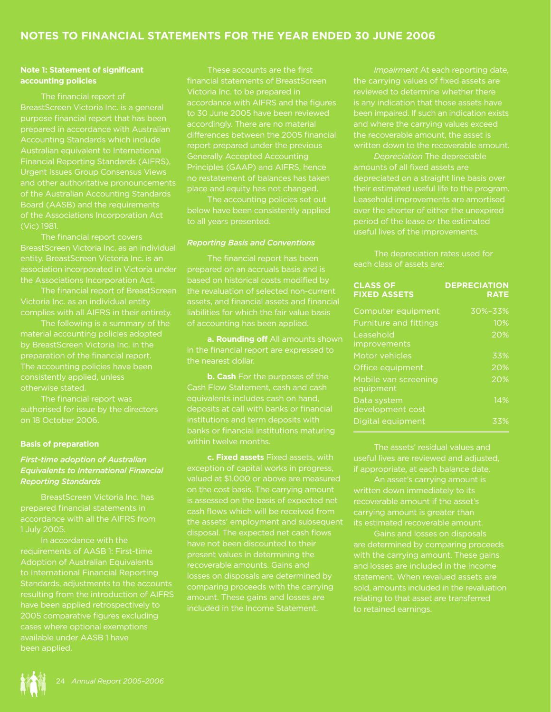## **Note 1: Statement of significant accounting policies**

The financial report of BreastScreen Victoria Inc. is a general purpose financial report that has been Accounting Standards which include Australian equivalent to International Financial Reporting Standards (AIFRS), Urgent Issues Group Consensus Views and other authoritative pronouncements of the Australian Accounting Standards Board (AASB) and the requirements of the Associations Incorporation Act (Vic) 1981.

The financial report covers entity. BreastScreen Victoria Inc. is an association incorporated in Victoria under the Associations Incorporation Act.

The financial report of BreastScreen Victoria Inc. as an individual entity complies with all AIFRS in their entirety.

The following is a summary of the material accounting policies adopted by BreastScreen Victoria Inc. in the preparation of the financial report. The accounting policies have been consistently applied, unless otherwise stated.

The financial report was authorised for issue by the directors on 18 October 2006.

## **Basis of preparation**

## *First-time adoption of Australian Equivalents to International Financial Reporting Standards*

BreastScreen Victoria Inc. has prepared financial statements in 1 July 2005.

In accordance with the requirements of AASB 1: First-time Adoption of Australian Equivalents to International Financial Reporting Standards, adjustments to the accounts resulting from the introduction of AIFRS have been applied retrospectively to cases where optional exemptions available under AASB 1 have been applied.

These accounts are the first financial statements of BreastScreen Victoria Inc. to be prepared in accordance with AIFRS and the figures to 30 June 2005 have been reviewed accordingly. There are no material differences between the 2005 financial report prepared under the previous Generally Accepted Accounting Principles (GAAP) and AIFRS, hence no restatement of balances has taken place and equity has not changed.

The accounting policies set out below have been consistently applied to all years presented.

## *Reporting Basis and Conventions*

The financial report has been prepared on an accruals basis and is based on historical costs modified by the revaluation of selected non-current assets, and financial assets and financial liabilities for which the fair value basis of accounting has been applied.

**a. Rounding off** All amounts shown in the financial report are expressed to the nearest dollar.

**b. Cash** For the purposes of the Cash Flow Statement, cash and cash equivalents includes cash on hand, deposits at call with banks or financial institutions and term deposits with within twelve months.

**c. Fixed assets** Fixed assets, with exception of capital works in progress, valued at \$1,000 or above are measured is assessed on the basis of expected net cash flows which will be received from the assets' employment and subsequent disposal. The expected net cash flows have not been discounted to their present values in determining the recoverable amounts. Gains and losses on disposals are determined by comparing proceeds with the carrying amount. These gains and losses are included in the Income Statement.

the carrying values of fixed assets are reviewed to determine whether there is any indication that those assets have been impaired. If such an indication exists the recoverable amount, the asset is written down to the recoverable amount.

*Depreciation* The depreciable amounts of all fixed assets are depreciated on a straight line basis over Leasehold improvements are amortised over the shorter of either the unexpired period of the lease or the estimated useful lives of the improvements.

The depreciation rates used for each class of assets are:

| <b>CLASS OF</b><br><b>FIXED ASSETS</b> | <b>DEPRECIATION</b><br><b>RATE</b> |
|----------------------------------------|------------------------------------|
| Computer equipment                     | 30%-33%                            |
| <b>Furniture and fittings</b>          | 10%                                |
| Leasehold<br>improvements              | 20%                                |
| Motor vehicles                         | 33%                                |
| Office equipment                       | 20%                                |
| Mobile van screening<br>equipment      | 20%                                |
| Data system<br>development cost        | $\overline{14}\%$                  |
| Digital equipment                      | 33%                                |

The assets' residual values and useful lives are reviewed and adjusted, if appropriate, at each balance date.

An asset's carrying amount is written down immediately to its recoverable amount if the asset's carrying amount is greater than its estimated recoverable amount.

Gains and losses on disposals with the carrying amount. These gains and losses are included in the income statement. When revalued assets are sold, amounts included in the revaluation to retained earnings.

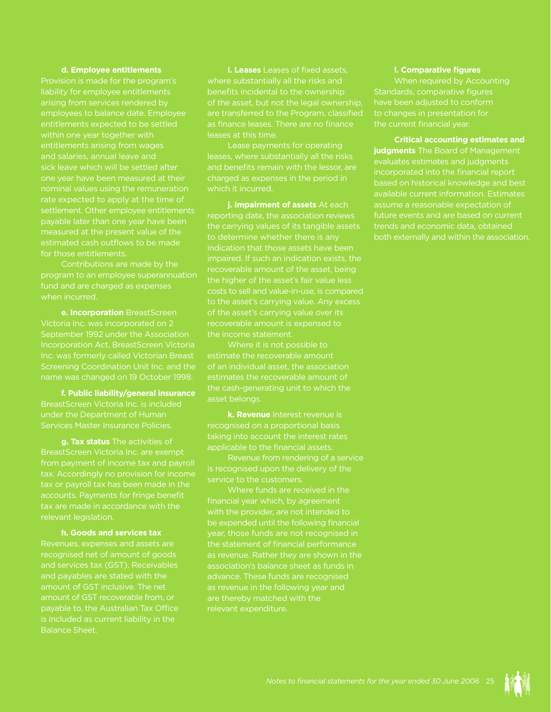## **d. Employee entitlements**

Provision is made for the program's liability for employee entitlements arising from services rendered by entitlements expected to be settled within one year together with entitlements arising from wages and salaries, annual leave and sick leave which will be settled after one year have been measured at their rate expected to apply at the time of settlement. Other employee entitlements payable later than one year have been measured at the present value of the estimated cash outflows to be made for those entitlements.

program to an employee superannuation fund and are charged as expenses when incurred.

**e. Incorporation** BreastScreen September 1992 under the Association Incorporation Act. BreastScreen Victoria Inc. was formerly called Victorian Breast name was changed on 19 October 1998.

**f. Public liability/general insurance**  BreastScreen Victoria Inc. is included under the Department of Human Services Master Insurance Policies.

**g. Tax status** The activities of BreastScreen Victoria Inc. are exempt from payment of income tax and payroll tax. Accordingly no provision for income accounts. Payments for fringe benefit tax are made in accordance with the relevant legislation.

**h. Goods and services tax**

Revenues, expenses and assets are recognised net of amount of goods and services tax (GST). Receivables and payables are stated with the amount of GST recoverable from, or is included as current liability in the Balance Sheet.

**i. Leases** Leases of fixed assets, where substantially all the risks and benefits incidental to the ownership of the asset, but not the legal ownership, are transferred to the Program, classified leases at this time.

Lease payments for operating leases, where substantially all the risks charged as expenses in the period in

**j. Impairment of assets** At each reporting date, the association reviews the carrying values of its tangible assets to determine whether there is any impaired. If such an indication exists, the recoverable amount of the asset, being the higher of the asset's fair value less costs to sell and value-in-use, is compared of the asset's carrying value over its recoverable amount is expensed to the income statement.

Where it is not possible to estimate the recoverable amount estimates the recoverable amount of asset belongs.

**k. Revenue** Interest revenue is recognised on a proportional basis taking into account the interest rates applicable to the financial assets.

Revenue from rendering of a service is recognised upon the delivery of the service to the customers.

financial year which, by agreement with the provider, are not intended to year, those funds are not recognised in the statement of financial performance as revenue. Rather they are shown in the association's balance sheet as funds in advance. These funds are recognised as revenue in the following year and are thereby matched with the

#### **l. Comparative figures**

When required by Accounting Standards, comparative figures have been adjusted to conform to changes in presentation for

**Critical accounting estimates and judgments** The Board of Management evaluates estimates and judgments incorporated into the financial report based on historical knowledge and best available current information. Estimates assume a reasonable expectation of future events and are based on current trends and economic data, obtained

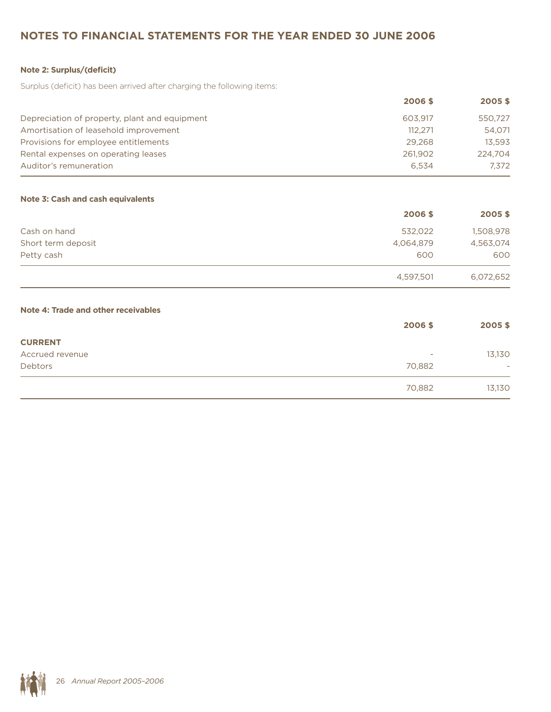# **Notes to Financial statements for the year ended 30 June 2006**

## **Note 2: Surplus/(deficit)**

Surplus (deficit) has been arrived after charging the following items:

|                                               | 2006 \$ | 2005\$  |
|-----------------------------------------------|---------|---------|
| Depreciation of property, plant and equipment | 603.917 | 550.727 |
| Amortisation of leasehold improvement         | 112.271 | 54.071  |
| Provisions for employee entitlements          | 29,268  | 13.593  |
| Rental expenses on operating leases           | 261,902 | 224.704 |
| Auditor's remuneration                        | 6.534   | 7.372   |

## **Note 3: Cash and cash equivalents**

|                    | 2006\$    | 2005\$    |
|--------------------|-----------|-----------|
| Cash on hand       | 532,022   | 1,508,978 |
| Short term deposit | 4,064,879 | 4,563,074 |
| Petty cash         | 600       | 600       |
|                    | 4,597,501 | 6,072,652 |

## **Note 4: Trade and other receivables**

|                 | 2006\$                   | 2005\$                   |
|-----------------|--------------------------|--------------------------|
| <b>CURRENT</b>  |                          |                          |
| Accrued revenue | $\overline{\phantom{a}}$ | 13,130                   |
| Debtors         | 70,882                   | $\overline{\phantom{a}}$ |
|                 | 70,882                   | 13,130                   |

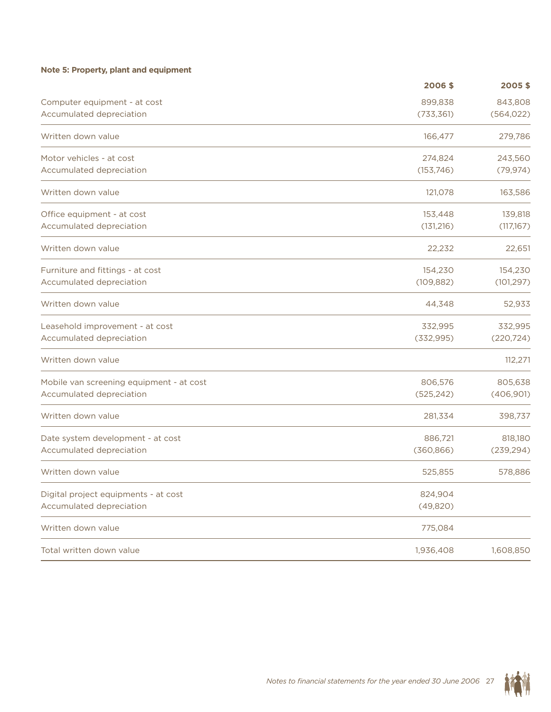## **Note 5: Property, plant and equipment**

|                                          | 2006\$     | 2005\$     |
|------------------------------------------|------------|------------|
| Computer equipment - at cost             | 899,838    | 843,808    |
| Accumulated depreciation                 | (733, 361) | (564, 022) |
| Written down value                       | 166,477    | 279,786    |
| Motor vehicles - at cost                 | 274,824    | 243,560    |
| Accumulated depreciation                 | (153, 746) | (79, 974)  |
| Written down value                       | 121,078    | 163,586    |
| Office equipment - at cost               | 153,448    | 139,818    |
| Accumulated depreciation                 | (131, 216) | (117,167)  |
| Written down value                       | 22,232     | 22,651     |
| Furniture and fittings - at cost         | 154,230    | 154,230    |
| Accumulated depreciation                 | (109, 882) | (101, 297) |
| Written down value                       | 44,348     | 52,933     |
| Leasehold improvement - at cost          | 332,995    | 332,995    |
| Accumulated depreciation                 | (332, 995) | (220, 724) |
| Written down value                       |            | 112,271    |
| Mobile van screening equipment - at cost | 806,576    | 805,638    |
| Accumulated depreciation                 | (525, 242) | (406, 901) |
| Written down value                       | 281,334    | 398,737    |
| Date system development - at cost        | 886,721    | 818,180    |
| Accumulated depreciation                 | (360, 866) | (239, 294) |
| Written down value                       | 525,855    | 578,886    |
| Digital project equipments - at cost     | 824,904    |            |
| Accumulated depreciation                 | (49, 820)  |            |
| Written down value                       | 775,084    |            |
| Total written down value                 | 1,936,408  | 1,608,850  |

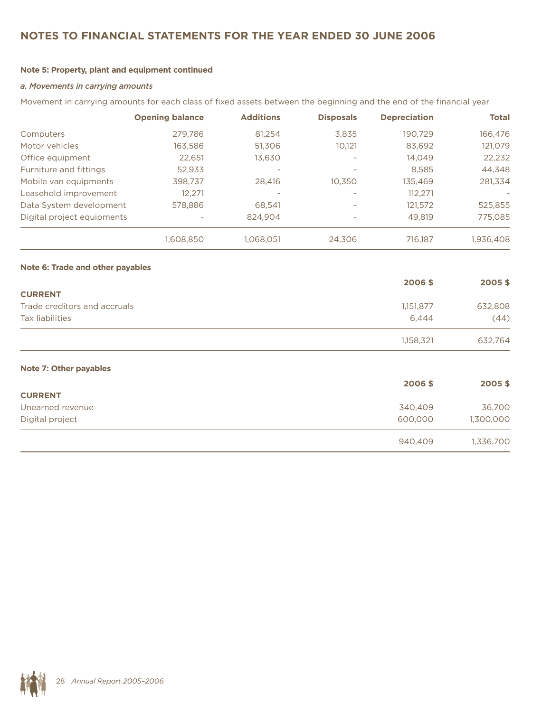# **Notes to Financial statements for the year ended 30 June 2006**

## **Note 5: Property, plant and equipment continued**

### *a. Movements in carrying amounts*

Movement in carrying amounts for each class of fixed assets between the beginning and the end of the financial year

|                            | <b>Opening balance</b> | <b>Additions</b>         | <b>Disposals</b>         | <b>Depreciation</b> | <b>Total</b> |
|----------------------------|------------------------|--------------------------|--------------------------|---------------------|--------------|
| Computers                  | 279.786                | 81.254                   | 3.835                    | 190,729             | 166,476      |
| Motor vehicles             | 163,586                | 51.306                   | 10,121                   | 83,692              | 121,079      |
| Office equipment           | 22,651                 | 13.630                   |                          | 14,049              | 22,232       |
| Furniture and fittings     | 52.933                 | $\overline{\phantom{a}}$ |                          | 8.585               | 44,348       |
| Mobile van equipments      | 398,737                | 28,416                   | 10.350                   | 135,469             | 281,334      |
| Leasehold improvement      | 12,271                 |                          |                          | 112.271             |              |
| Data System development    | 578,886                | 68.541                   | $\overline{\phantom{a}}$ | 121,572             | 525,855      |
| Digital project equipments |                        | 824.904                  |                          | 49,819              | 775,085      |
|                            | 1,608,850              | 1.068.051                | 24.306                   | 716,187             | 1,936,408    |

#### **Note 6: Trade and other payables**

|                              | 2006\$    | 2005\$  |
|------------------------------|-----------|---------|
| <b>CURRENT</b>               |           |         |
| Trade creditors and accruals | 1,151,877 | 632,808 |
| Tax liabilities              | 6.444     | (44)    |
|                              | 1,158,321 | 632,764 |

### **Note 7: Other payables**

|                  | 2006\$  | 2005\$    |
|------------------|---------|-----------|
| <b>CURRENT</b>   |         |           |
| Unearned revenue | 340,409 | 36,700    |
| Digital project  | 600,000 | 1,300,000 |
|                  | 940,409 | 1,336,700 |

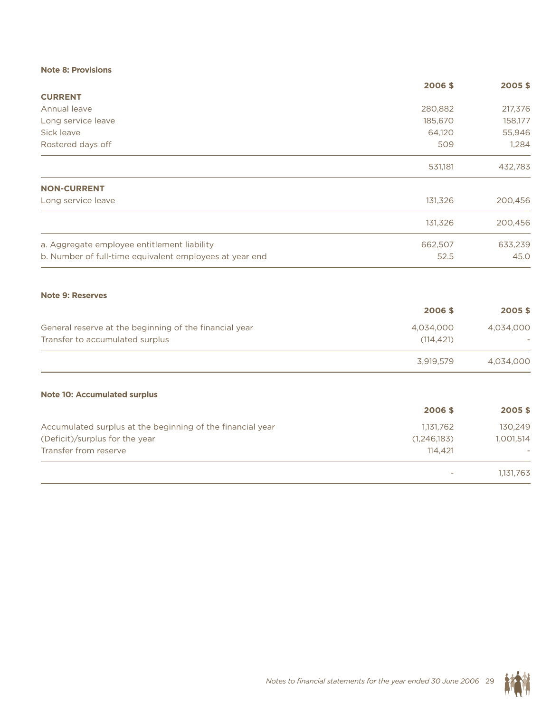## **Note 8: Provisions**

| 280,882 |                                                                                                                                                                 |
|---------|-----------------------------------------------------------------------------------------------------------------------------------------------------------------|
|         |                                                                                                                                                                 |
|         | 217,376                                                                                                                                                         |
| 185,670 | 158,177                                                                                                                                                         |
|         | 55,946                                                                                                                                                          |
| 509     | 1,284                                                                                                                                                           |
|         | 432,783                                                                                                                                                         |
|         |                                                                                                                                                                 |
|         | 200,456                                                                                                                                                         |
|         | 200,456                                                                                                                                                         |
|         | 633,239                                                                                                                                                         |
|         | 45.0                                                                                                                                                            |
|         |                                                                                                                                                                 |
|         | 2005\$                                                                                                                                                          |
|         | 4,034,000                                                                                                                                                       |
|         |                                                                                                                                                                 |
|         | 4,034,000                                                                                                                                                       |
|         |                                                                                                                                                                 |
|         | 2005\$                                                                                                                                                          |
|         | 130,249                                                                                                                                                         |
|         | 1,001,514                                                                                                                                                       |
|         |                                                                                                                                                                 |
|         | 1,131,763                                                                                                                                                       |
|         | 64,120<br>531,181<br>131,326<br>131,326<br>662,507<br>52.5<br>2006\$<br>4,034,000<br>(114, 421)<br>3,919,579<br>2006\$<br>1,131,762<br>(1, 246, 183)<br>114,421 |

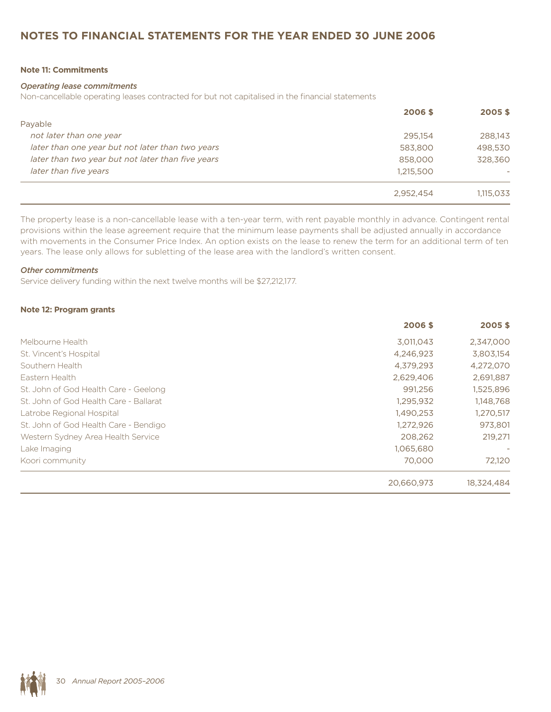# **Notes to Financial statements for the year ended 30 June 2006**

## **Note 11: Commitments**

#### *Operating lease commitments*

Non-cancellable operating leases contracted for but not capitalised in the financial statements

|                                                   | 2006 \$   | 2005\$    |
|---------------------------------------------------|-----------|-----------|
| Payable                                           |           |           |
| not later than one year                           | 295.154   | 288.143   |
| later than one year but not later than two years  | 583,800   | 498,530   |
| later than two year but not later than five years | 858,000   | 328,360   |
| later than five years                             | 1,215,500 |           |
|                                                   | 2.952.454 | 1.115.033 |

The property lease is a non-cancellable lease with a ten-year term, with rent payable monthly in advance. Contingent rental provisions within the lease agreement require that the minimum lease payments shall be adjusted annually in accordance with movements in the Consumer Price Index. An option exists on the lease to renew the term for an additional term of ten years. The lease only allows for subletting of the lease area with the landlord's written consent.

#### *Other commitments*

Service delivery funding within the next twelve months will be \$27,212,177.

#### **Note 12: Program grants**

|                                        | 2006\$     | 2005\$     |
|----------------------------------------|------------|------------|
| Melbourne Health                       | 3,011,043  | 2,347,000  |
| St. Vincent's Hospital                 | 4,246,923  | 3,803,154  |
| Southern Health                        | 4,379,293  | 4,272,070  |
| Eastern Health                         | 2.629.406  | 2,691,887  |
| St. John of God Health Care - Geelong  | 991.256    | 1,525,896  |
| St. John of God Health Care - Ballarat | 1,295,932  | 1,148,768  |
| Latrobe Regional Hospital              | 1,490,253  | 1,270,517  |
| St. John of God Health Care - Bendigo  | 1,272,926  | 973,801    |
| Western Sydney Area Health Service     | 208,262    | 219,271    |
| Lake Imaging                           | 1,065,680  |            |
| Koori community                        | 70,000     | 72,120     |
|                                        | 20,660,973 | 18,324,484 |

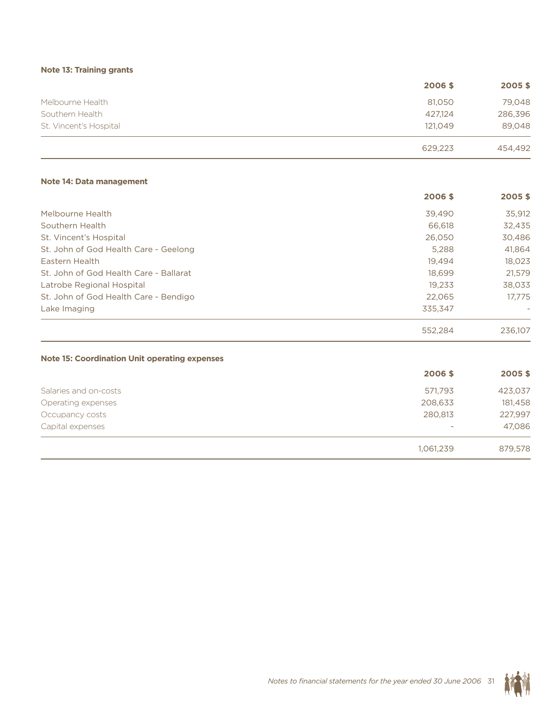## **Note 13: Training grants**

|                        | 2006\$  | 2005\$  |
|------------------------|---------|---------|
| Melbourne Health       | 81.050  | 79,048  |
| Southern Health        | 427.124 | 286,396 |
| St. Vincent's Hospital | 121.049 | 89,048  |
|                        | 629,223 | 454,492 |

### **Note 14: Data management**

|                                        | 2006\$  | 2005\$  |
|----------------------------------------|---------|---------|
| Melbourne Health                       | 39,490  | 35,912  |
| Southern Health                        | 66,618  | 32,435  |
| St. Vincent's Hospital                 | 26,050  | 30,486  |
| St. John of God Health Care - Geelong  | 5,288   | 41.864  |
| Eastern Health                         | 19.494  | 18,023  |
| St. John of God Health Care - Ballarat | 18,699  | 21.579  |
| Latrobe Regional Hospital              | 19,233  | 38,033  |
| St. John of God Health Care - Bendigo  | 22.065  | 17.775  |
| Lake Imaging                           | 335.347 |         |
|                                        | 552.284 | 236.107 |

### **Note 15: Coordination Unit operating expenses**

|                       | 2006\$                          | 2005\$  |
|-----------------------|---------------------------------|---------|
| Salaries and on-costs | 571,793                         | 423,037 |
| Operating expenses    | 208,633                         | 181,458 |
| Occupancy costs       | 280,813                         | 227,997 |
| Capital expenses      | $\hspace{0.1mm}-\hspace{0.1mm}$ | 47,086  |
|                       | 1,061,239                       | 879,578 |

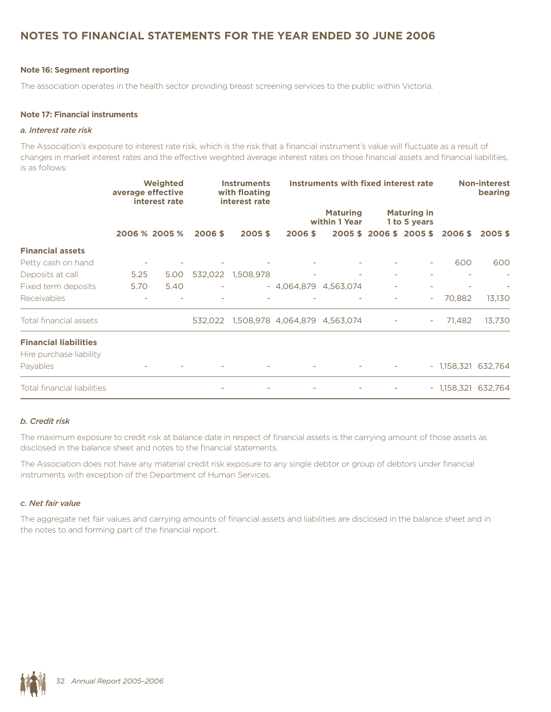# **Notes to Financial statements for the year ended 30 June 2006**

### **Note 16: Segment reporting**

The association operates in the health sector providing breast screening services to the public within Victoria.

#### **Note 17: Financial instruments**

#### *a. Interest rate risk*

The Association's exposure to interest rate risk, which is the risk that a financial instrument's value will fluctuate as a result of changes in market interest rates and the effective weighted average interest rates on those financial assets and financial liabilities, is as follows:

|                              | average effective | Weighted<br>interest rate | <b>Instruments</b><br>with floating<br>interest rate |                   | Instruments with fixed interest rate  |                                  |  | <b>Non-interest</b><br>bearing     |                      |        |
|------------------------------|-------------------|---------------------------|------------------------------------------------------|-------------------|---------------------------------------|----------------------------------|--|------------------------------------|----------------------|--------|
|                              |                   |                           |                                                      |                   |                                       | <b>Maturing</b><br>within 1 Year |  | <b>Maturing in</b><br>1 to 5 years |                      |        |
|                              |                   | 2006 % 2005 %             | 2006 \$                                              | 2005\$            | 2006 \$                               |                                  |  | 2005 \$2006 \$2005 \$              | 2006 \$              | 2005\$ |
| <b>Financial assets</b>      |                   |                           |                                                      |                   |                                       |                                  |  |                                    |                      |        |
| Petty cash on hand           |                   |                           |                                                      |                   |                                       |                                  |  | $\overline{\phantom{a}}$           | 600                  | 600    |
| Deposits at call             | 5.25              | 5.00                      |                                                      | 532,022 1,508,978 |                                       |                                  |  |                                    |                      |        |
| Fixed term deposits          | 5.70              | 5.40                      |                                                      |                   | $-4,064,879$ $4,563,074$              |                                  |  |                                    |                      |        |
| Receivables                  |                   |                           |                                                      |                   |                                       |                                  |  | $\overline{\phantom{a}}$           | 70,882               | 13,130 |
| Total financial assets       |                   |                           |                                                      |                   | 532,022 1,508,978 4,064,879 4,563,074 |                                  |  | $\overline{\phantom{a}}$           | 71,482               | 13,730 |
| <b>Financial liabilities</b> |                   |                           |                                                      |                   |                                       |                                  |  |                                    |                      |        |
| Hire purchase liability      |                   |                           |                                                      |                   |                                       |                                  |  |                                    |                      |        |
| Payables                     |                   |                           |                                                      |                   |                                       |                                  |  |                                    | - 1,158,321 632,764  |        |
| Total financial liabilities  |                   |                           |                                                      |                   |                                       |                                  |  |                                    | $-1,158,321$ 632,764 |        |

### *b. Credit risk*

The maximum exposure to credit risk at balance date in respect of financial assets is the carrying amount of those assets as disclosed in the balance sheet and notes to the financial statements.

The Association does not have any material credit risk exposure to any single debtor or group of debtors under financial instruments with exception of the Department of Human Services.

#### *c. Net fair value*

The aggregate net fair values and carrying amounts of financial assets and liabilities are disclosed in the balance sheet and in the notes to and forming part of the financial report.

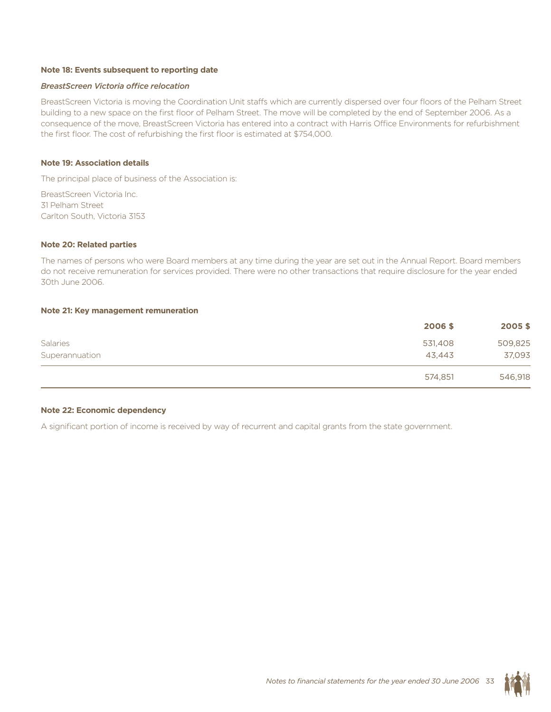#### **Note 18: Events subsequent to reporting date**

#### *BreastScreen Victoria office relocation*

BreastScreen Victoria is moving the Coordination Unit staffs which are currently dispersed over four floors of the Pelham Street building to a new space on the first floor of Pelham Street. The move will be completed by the end of September 2006. As a consequence of the move, BreastScreen Victoria has entered into a contract with Harris Office Environments for refurbishment the first floor. The cost of refurbishing the first floor is estimated at \$754,000.

#### **Note 19: Association details**

The principal place of business of the Association is:

BreastScreen Victoria Inc. 31 Pelham Street Carlton South, Victoria 3153

#### **Note 20: Related parties**

The names of persons who were Board members at any time during the year are set out in the Annual Report. Board members do not receive remuneration for services provided. There were no other transactions that require disclosure for the year ended 30th June 2006.

#### **Note 21: Key management remuneration**

|                 | 2006\$  | 2005\$  |
|-----------------|---------|---------|
| <b>Salaries</b> | 531,408 | 509,825 |
| Superannuation  | 43,443  | 37,093  |
|                 | 574,851 | 546,918 |

#### **Note 22: Economic dependency**

A significant portion of income is received by way of recurrent and capital grants from the state government.

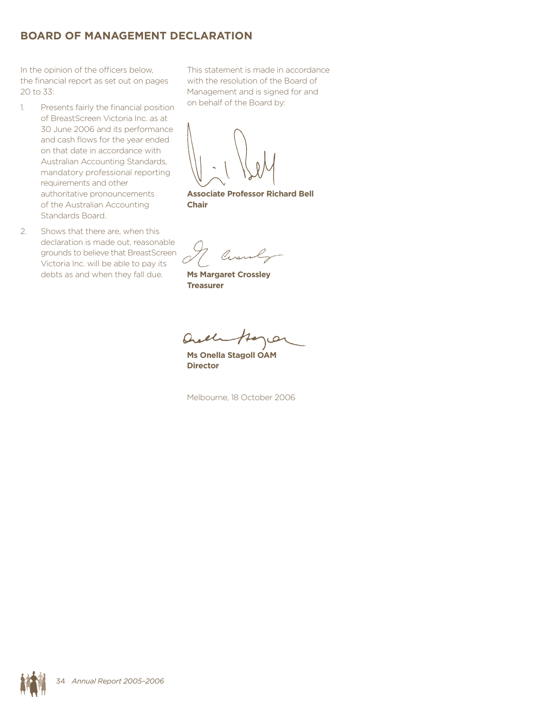# **BOARD OF MANAGEMENT DECLARATION**

In the opinion of the officers below, the financial report as set out on pages 20 to 33:

- 1. Presents fairly the financial position of BreastScreen Victoria Inc. as at 30 June 2006 and its performance and cash flows for the year ended on that date in accordance with Australian Accounting Standards, mandatory professional reporting requirements and other authoritative pronouncements of the Australian Accounting Standards Board.
- 2. Shows that there are, when this declaration is made out, reasonable grounds to believe that BreastScreen Victoria Inc. will be able to pay its debts as and when they fall due.

This statement is made in accordance with the resolution of the Board of Management and is signed for and on behalf of the Board by:

**Associate Professor Richard Bell Chair**

**Ms Margaret Crossley Treasurer**

Quel

**Ms Onella Stagoll OAM Director**

Melbourne, 18 October 2006

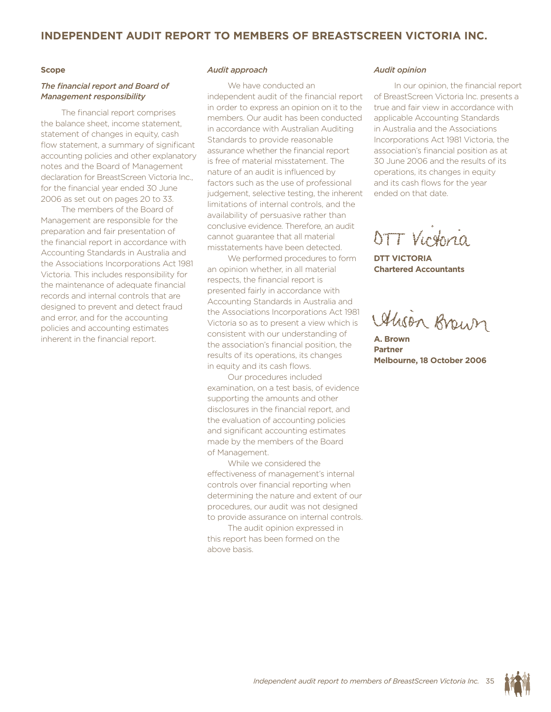## **Independent audit report to members of BreastScreen Victoria Inc.**

### **Scope**

### *The financial report and Board of Management responsibility*

The financial report comprises the balance sheet, income statement, statement of changes in equity, cash flow statement, a summary of significant accounting policies and other explanatory notes and the Board of Management declaration for BreastScreen Victoria Inc., for the financial year ended 30 June 2006 as set out on pages 20 to 33.

The members of the Board of Management are responsible for the preparation and fair presentation of the financial report in accordance with Accounting Standards in Australia and the Associations Incorporations Act 1981 Victoria. This includes responsibility for the maintenance of adequate financial records and internal controls that are designed to prevent and detect fraud and error, and for the accounting policies and accounting estimates inherent in the financial report.

#### *Audit approach*

We have conducted an independent audit of the financial report in order to express an opinion on it to the members. Our audit has been conducted in accordance with Australian Auditing Standards to provide reasonable assurance whether the financial report is free of material misstatement. The nature of an audit is influenced by factors such as the use of professional judgement, selective testing, the inherent limitations of internal controls, and the availability of persuasive rather than conclusive evidence. Therefore, an audit cannot guarantee that all material misstatements have been detected.

We performed procedures to form an opinion whether, in all material respects, the financial report is presented fairly in accordance with Accounting Standards in Australia and the Associations Incorporations Act 1981 Victoria so as to present a view which is consistent with our understanding of the association's financial position, the results of its operations, its changes in equity and its cash flows.

Our procedures included examination, on a test basis, of evidence supporting the amounts and other disclosures in the financial report, and the evaluation of accounting policies and significant accounting estimates made by the members of the Board of Management.

While we considered the effectiveness of management's internal controls over financial reporting when determining the nature and extent of our procedures, our audit was not designed to provide assurance on internal controls.

The audit opinion expressed in this report has been formed on the above basis.

#### *Audit opinion*

In our opinion, the financial report of BreastScreen Victoria Inc. presents a true and fair view in accordance with applicable Accounting Standards in Australia and the Associations Incorporations Act 1981 Victoria, the association's financial position as at 30 June 2006 and the results of its operations, its changes in equity and its cash flows for the year ended on that date.

OTT Virginia

**DTT VICTORIA Chartered Accountants**

Alison Brown

**A. Brown Partner Melbourne, 18 October 2006**

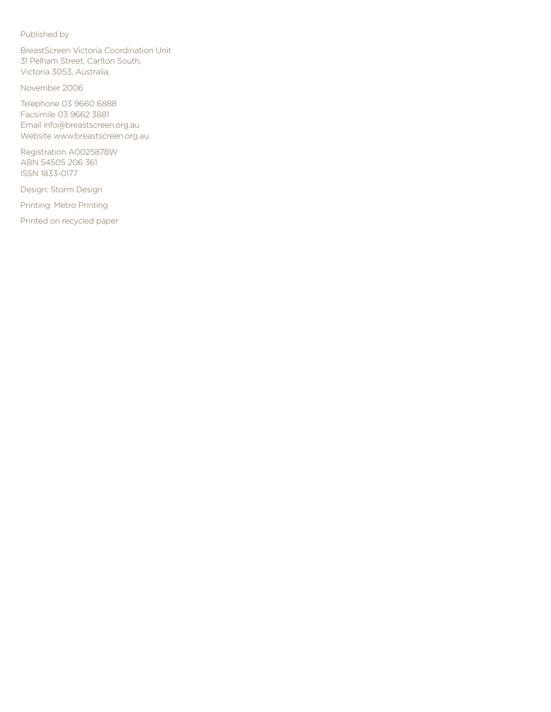### Published by

BreastScreen Victoria Coordination Unit 31 Pelham Street, Carlton South, Victoria 3053, Australia,

November 2006

Telephone 03 9660 6888 Facsimile 03 9662 3881 Email info@breastscreen.org.au Website www.breastscreen.org.au

Registration A0025878W ABN 54505 206 361 ISSN 1833-0177

Design: Storm Design

Printing: Metro Printing

Printed on recycled paper